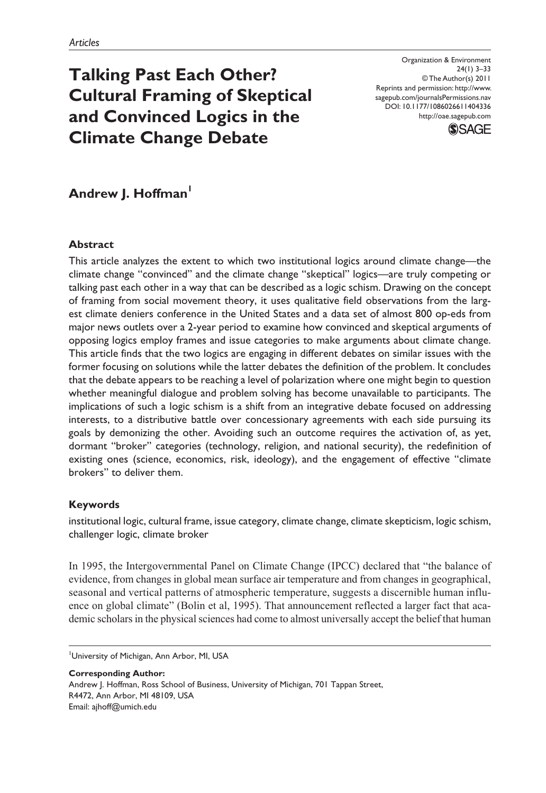# **Talking Past Each Other? Cultural Framing of Skeptical and Convinced Logics in the Climate Change Debate**

Organization & Environment 24(1) 3–33 © The Author(s) 2011 Reprints and permission: http://www. sagepub.com/journalsPermissions.nav DOI: 10.1177/1086026611404336 http://oae.sagepub.com



Andrew J. Hoffman<sup>1</sup>

# **Abstract**

This article analyzes the extent to which two institutional logics around climate change—the climate change "convinced" and the climate change "skeptical" logics—are truly competing or talking past each other in a way that can be described as a logic schism. Drawing on the concept of framing from social movement theory, it uses qualitative field observations from the largest climate deniers conference in the United States and a data set of almost 800 op-eds from major news outlets over a 2-year period to examine how convinced and skeptical arguments of opposing logics employ frames and issue categories to make arguments about climate change. This article finds that the two logics are engaging in different debates on similar issues with the former focusing on solutions while the latter debates the definition of the problem. It concludes that the debate appears to be reaching a level of polarization where one might begin to question whether meaningful dialogue and problem solving has become unavailable to participants. The implications of such a logic schism is a shift from an integrative debate focused on addressing interests, to a distributive battle over concessionary agreements with each side pursuing its goals by demonizing the other. Avoiding such an outcome requires the activation of, as yet, dormant "broker" categories (technology, religion, and national security), the redefinition of existing ones (science, economics, risk, ideology), and the engagement of effective "climate brokers" to deliver them.

# **Keywords**

institutional logic, cultural frame, issue category, climate change, climate skepticism, logic schism, challenger logic, climate broker

In 1995, the Intergovernmental Panel on Climate Change (IPCC) declared that "the balance of evidence, from changes in global mean surface air temperature and from changes in geographical, seasonal and vertical patterns of atmospheric temperature, suggests a discernible human influence on global climate" (Bolin et al, 1995). That announcement reflected a larger fact that academic scholars in the physical sciences had come to almost universally accept the belief that human

<sup>1</sup>University of Michigan, Ann Arbor, MI, USA

**Corresponding Author:** Andrew J. Hoffman, Ross School of Business, University of Michigan, 701 Tappan Street, R4472, Ann Arbor, MI 48109, USA Email: ajhoff@umich.edu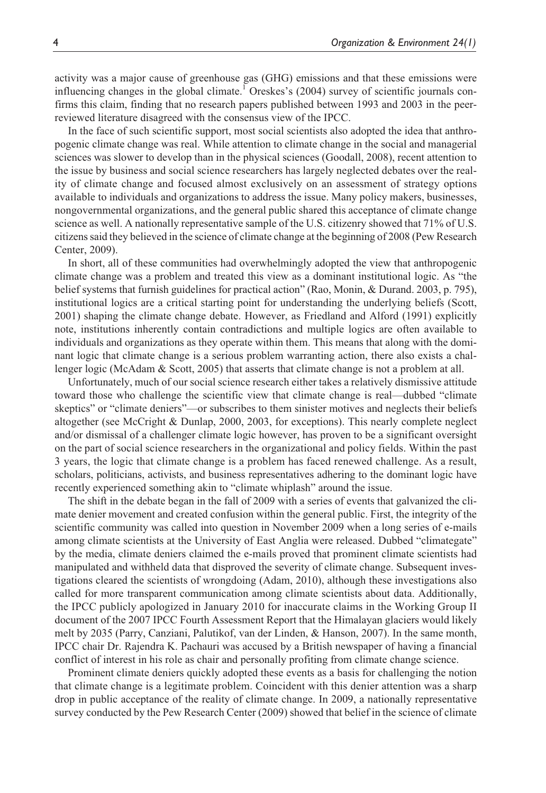activity was a major cause of greenhouse gas (GHG) emissions and that these emissions were influencing changes in the global climate.<sup>1</sup> Oreskes's (2004) survey of scientific journals confirms this claim, finding that no research papers published between 1993 and 2003 in the peerreviewed literature disagreed with the consensus view of the IPCC.

In the face of such scientific support, most social scientists also adopted the idea that anthropogenic climate change was real. While attention to climate change in the social and managerial sciences was slower to develop than in the physical sciences (Goodall, 2008), recent attention to the issue by business and social science researchers has largely neglected debates over the reality of climate change and focused almost exclusively on an assessment of strategy options available to individuals and organizations to address the issue. Many policy makers, businesses, nongovernmental organizations, and the general public shared this acceptance of climate change science as well. A nationally representative sample of the U.S. citizenry showed that 71% of U.S. citizens said they believed in the science of climate change at the beginning of 2008 (Pew Research Center, 2009).

In short, all of these communities had overwhelmingly adopted the view that anthropogenic climate change was a problem and treated this view as a dominant institutional logic. As "the belief systems that furnish guidelines for practical action" (Rao, Monin, & Durand. 2003, p. 795), institutional logics are a critical starting point for understanding the underlying beliefs (Scott, 2001) shaping the climate change debate. However, as Friedland and Alford (1991) explicitly note, institutions inherently contain contradictions and multiple logics are often available to individuals and organizations as they operate within them. This means that along with the dominant logic that climate change is a serious problem warranting action, there also exists a challenger logic (McAdam & Scott, 2005) that asserts that climate change is not a problem at all.

Unfortunately, much of our social science research either takes a relatively dismissive attitude toward those who challenge the scientific view that climate change is real—dubbed "climate skeptics" or "climate deniers"—or subscribes to them sinister motives and neglects their beliefs altogether (see McCright & Dunlap, 2000, 2003, for exceptions). This nearly complete neglect and/or dismissal of a challenger climate logic however, has proven to be a significant oversight on the part of social science researchers in the organizational and policy fields. Within the past 3 years, the logic that climate change is a problem has faced renewed challenge. As a result, scholars, politicians, activists, and business representatives adhering to the dominant logic have recently experienced something akin to "climate whiplash" around the issue.

The shift in the debate began in the fall of 2009 with a series of events that galvanized the climate denier movement and created confusion within the general public. First, the integrity of the scientific community was called into question in November 2009 when a long series of e-mails among climate scientists at the University of East Anglia were released. Dubbed "climategate" by the media, climate deniers claimed the e-mails proved that prominent climate scientists had manipulated and withheld data that disproved the severity of climate change. Subsequent investigations cleared the scientists of wrongdoing (Adam, 2010), although these investigations also called for more transparent communication among climate scientists about data. Additionally, the IPCC publicly apologized in January 2010 for inaccurate claims in the Working Group II document of the 2007 IPCC Fourth Assessment Report that the Himalayan glaciers would likely melt by 2035 (Parry, Canziani, Palutikof, van der Linden, & Hanson, 2007). In the same month, IPCC chair Dr. Rajendra K. Pachauri was accused by a British newspaper of having a financial conflict of interest in his role as chair and personally profiting from climate change science.

Prominent climate deniers quickly adopted these events as a basis for challenging the notion that climate change is a legitimate problem. Coincident with this denier attention was a sharp drop in public acceptance of the reality of climate change. In 2009, a nationally representative survey conducted by the Pew Research Center (2009) showed that belief in the science of climate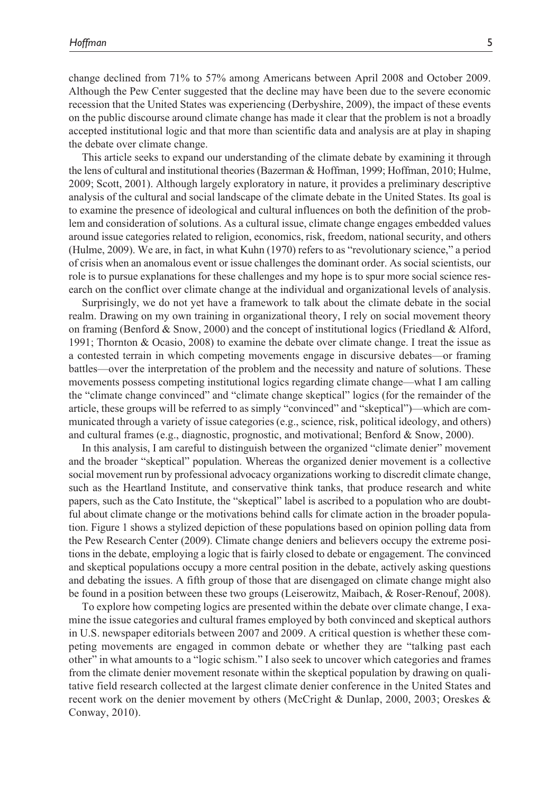change declined from 71% to 57% among Americans between April 2008 and October 2009. Although the Pew Center suggested that the decline may have been due to the severe economic recession that the United States was experiencing (Derbyshire, 2009), the impact of these events on the public discourse around climate change has made it clear that the problem is not a broadly accepted institutional logic and that more than scientific data and analysis are at play in shaping the debate over climate change.

This article seeks to expand our understanding of the climate debate by examining it through the lens of cultural and institutional theories (Bazerman & Hoffman, 1999; Hoffman, 2010; Hulme, 2009; Scott, 2001). Although largely exploratory in nature, it provides a preliminary descriptive analysis of the cultural and social landscape of the climate debate in the United States. Its goal is to examine the presence of ideological and cultural influences on both the definition of the problem and consideration of solutions. As a cultural issue, climate change engages embedded values around issue categories related to religion, economics, risk, freedom, national security, and others (Hulme, 2009). We are, in fact, in what Kuhn (1970) refers to as "revolutionary science," a period of crisis when an anomalous event or issue challenges the dominant order. As social scientists, our role is to pursue explanations for these challenges and my hope is to spur more social science research on the conflict over climate change at the individual and organizational levels of analysis.

Surprisingly, we do not yet have a framework to talk about the climate debate in the social realm. Drawing on my own training in organizational theory, I rely on social movement theory on framing (Benford & Snow, 2000) and the concept of institutional logics (Friedland & Alford, 1991; Thornton & Ocasio, 2008) to examine the debate over climate change. I treat the issue as a contested terrain in which competing movements engage in discursive debates—or framing battles—over the interpretation of the problem and the necessity and nature of solutions. These movements possess competing institutional logics regarding climate change—what I am calling the "climate change convinced" and "climate change skeptical" logics (for the remainder of the article, these groups will be referred to as simply "convinced" and "skeptical")—which are communicated through a variety of issue categories (e.g., science, risk, political ideology, and others) and cultural frames (e.g., diagnostic, prognostic, and motivational; Benford & Snow, 2000).

In this analysis, I am careful to distinguish between the organized "climate denier" movement and the broader "skeptical" population. Whereas the organized denier movement is a collective social movement run by professional advocacy organizations working to discredit climate change, such as the Heartland Institute, and conservative think tanks, that produce research and white papers, such as the Cato Institute, the "skeptical" label is ascribed to a population who are doubtful about climate change or the motivations behind calls for climate action in the broader population. Figure 1 shows a stylized depiction of these populations based on opinion polling data from the Pew Research Center (2009). Climate change deniers and believers occupy the extreme positions in the debate, employing a logic that is fairly closed to debate or engagement. The convinced and skeptical populations occupy a more central position in the debate, actively asking questions and debating the issues. A fifth group of those that are disengaged on climate change might also be found in a position between these two groups (Leiserowitz, Maibach, & Roser-Renouf, 2008).

To explore how competing logics are presented within the debate over climate change, I examine the issue categories and cultural frames employed by both convinced and skeptical authors in U.S. newspaper editorials between 2007 and 2009. A critical question is whether these competing movements are engaged in common debate or whether they are "talking past each other" in what amounts to a "logic schism." I also seek to uncover which categories and frames from the climate denier movement resonate within the skeptical population by drawing on qualitative field research collected at the largest climate denier conference in the United States and recent work on the denier movement by others (McCright & Dunlap, 2000, 2003; Oreskes & Conway, 2010).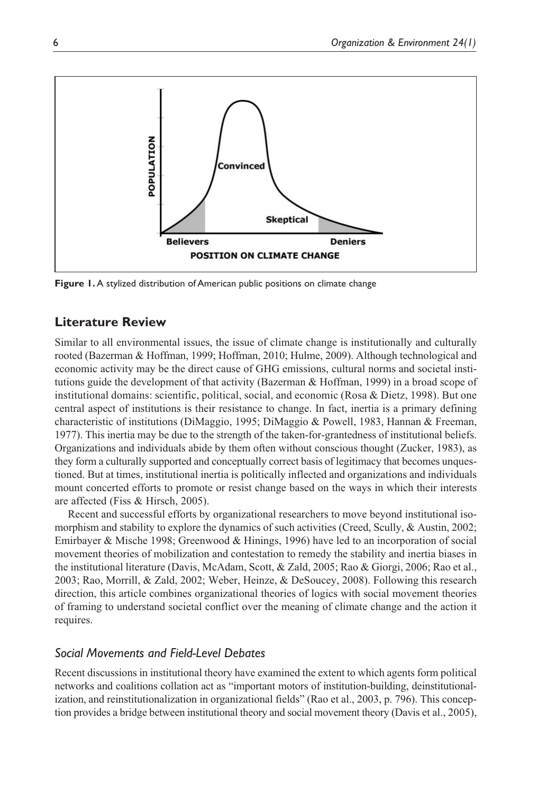

**Figure 1.** A stylized distribution of American public positions on climate change

# **Literature Review**

Similar to all environmental issues, the issue of climate change is institutionally and culturally rooted (Bazerman & Hoffman, 1999; Hoffman, 2010; Hulme, 2009). Although technological and economic activity may be the direct cause of GHG emissions, cultural norms and societal institutions guide the development of that activity (Bazerman & Hoffman, 1999) in a broad scope of institutional domains: scientific, political, social, and economic (Rosa & Dietz, 1998). But one central aspect of institutions is their resistance to change. In fact, inertia is a primary defining characteristic of institutions (DiMaggio, 1995; DiMaggio & Powell, 1983, Hannan & Freeman, 1977). This inertia may be due to the strength of the taken-for-grantedness of institutional beliefs. Organizations and individuals abide by them often without conscious thought (Zucker, 1983), as they form a culturally supported and conceptually correct basis of legitimacy that becomes unquestioned. But at times, institutional inertia is politically inflected and organizations and individuals mount concerted efforts to promote or resist change based on the ways in which their interests are affected (Fiss & Hirsch, 2005).

Recent and successful efforts by organizational researchers to move beyond institutional isomorphism and stability to explore the dynamics of such activities (Creed, Scully, & Austin, 2002; Emirbayer & Mische 1998; Greenwood & Hinings, 1996) have led to an incorporation of social movement theories of mobilization and contestation to remedy the stability and inertia biases in the institutional literature (Davis, McAdam, Scott, & Zald, 2005; Rao & Giorgi, 2006; Rao et al., 2003; Rao, Morrill, & Zald, 2002; Weber, Heinze, & DeSoucey, 2008). Following this research direction, this article combines organizational theories of logics with social movement theories of framing to understand societal conflict over the meaning of climate change and the action it requires.

# *Social Movements and Field-Level Debates*

Recent discussions in institutional theory have examined the extent to which agents form political networks and coalitions collation act as "important motors of institution-building, deinstitutionalization, and reinstitutionalization in organizational fields" (Rao et al., 2003, p. 796). This conception provides a bridge between institutional theory and social movement theory (Davis et al., 2005),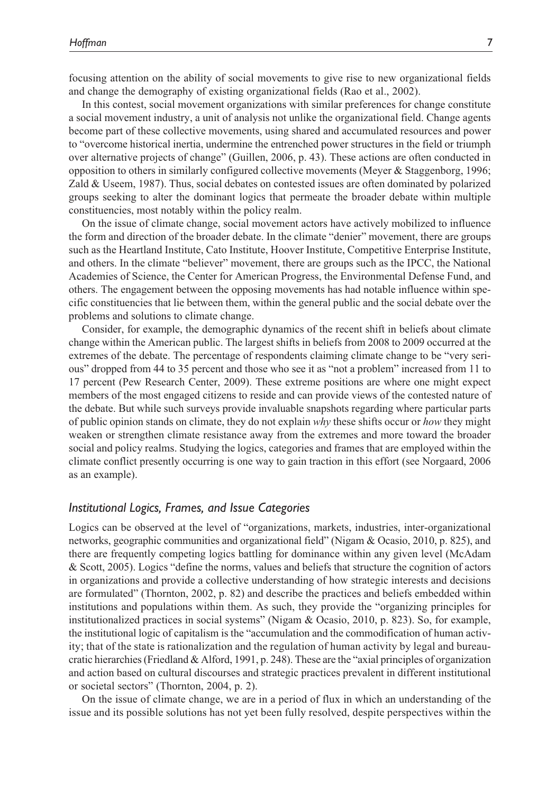focusing attention on the ability of social movements to give rise to new organizational fields and change the demography of existing organizational fields (Rao et al., 2002).

In this contest, social movement organizations with similar preferences for change constitute a social movement industry, a unit of analysis not unlike the organizational field. Change agents become part of these collective movements, using shared and accumulated resources and power to "overcome historical inertia, undermine the entrenched power structures in the field or triumph over alternative projects of change" (Guillen, 2006, p. 43). These actions are often conducted in opposition to others in similarly configured collective movements (Meyer & Staggenborg, 1996; Zald & Useem, 1987). Thus, social debates on contested issues are often dominated by polarized groups seeking to alter the dominant logics that permeate the broader debate within multiple constituencies, most notably within the policy realm.

On the issue of climate change, social movement actors have actively mobilized to influence the form and direction of the broader debate. In the climate "denier" movement, there are groups such as the Heartland Institute, Cato Institute, Hoover Institute, Competitive Enterprise Institute, and others. In the climate "believer" movement, there are groups such as the IPCC, the National Academies of Science, the Center for American Progress, the Environmental Defense Fund, and others. The engagement between the opposing movements has had notable influence within specific constituencies that lie between them, within the general public and the social debate over the problems and solutions to climate change.

Consider, for example, the demographic dynamics of the recent shift in beliefs about climate change within the American public. The largest shifts in beliefs from 2008 to 2009 occurred at the extremes of the debate. The percentage of respondents claiming climate change to be "very serious" dropped from 44 to 35 percent and those who see it as "not a problem" increased from 11 to 17 percent (Pew Research Center, 2009). These extreme positions are where one might expect members of the most engaged citizens to reside and can provide views of the contested nature of the debate. But while such surveys provide invaluable snapshots regarding where particular parts of public opinion stands on climate, they do not explain *why* these shifts occur or *how* they might weaken or strengthen climate resistance away from the extremes and more toward the broader social and policy realms. Studying the logics, categories and frames that are employed within the climate conflict presently occurring is one way to gain traction in this effort (see Norgaard, 2006 as an example).

### *Institutional Logics, Frames, and Issue Categories*

Logics can be observed at the level of "organizations, markets, industries, inter-organizational networks, geographic communities and organizational field" (Nigam & Ocasio, 2010, p. 825), and there are frequently competing logics battling for dominance within any given level (McAdam & Scott, 2005). Logics "define the norms, values and beliefs that structure the cognition of actors in organizations and provide a collective understanding of how strategic interests and decisions are formulated" (Thornton, 2002, p. 82) and describe the practices and beliefs embedded within institutions and populations within them. As such, they provide the "organizing principles for institutionalized practices in social systems" (Nigam & Ocasio, 2010, p. 823). So, for example, the institutional logic of capitalism is the "accumulation and the commodification of human activity; that of the state is rationalization and the regulation of human activity by legal and bureaucratic hierarchies (Friedland & Alford, 1991, p. 248). These are the "axial principles of organization and action based on cultural discourses and strategic practices prevalent in different institutional or societal sectors" (Thornton, 2004, p. 2).

On the issue of climate change, we are in a period of flux in which an understanding of the issue and its possible solutions has not yet been fully resolved, despite perspectives within the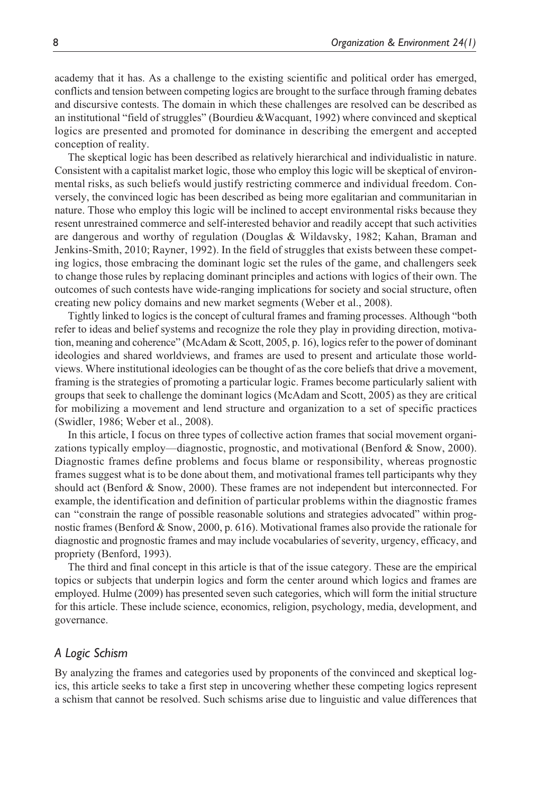academy that it has. As a challenge to the existing scientific and political order has emerged, conflicts and tension between competing logics are brought to the surface through framing debates and discursive contests. The domain in which these challenges are resolved can be described as an institutional "field of struggles" (Bourdieu &Wacquant, 1992) where convinced and skeptical logics are presented and promoted for dominance in describing the emergent and accepted conception of reality.

The skeptical logic has been described as relatively hierarchical and individualistic in nature. Consistent with a capitalist market logic, those who employ this logic will be skeptical of environmental risks, as such beliefs would justify restricting commerce and individual freedom. Conversely, the convinced logic has been described as being more egalitarian and communitarian in nature. Those who employ this logic will be inclined to accept environmental risks because they resent unrestrained commerce and self-interested behavior and readily accept that such activities are dangerous and worthy of regulation (Douglas & Wildavsky, 1982; Kahan, Braman and Jenkins-Smith, 2010; Rayner, 1992). In the field of struggles that exists between these competing logics, those embracing the dominant logic set the rules of the game, and challengers seek to change those rules by replacing dominant principles and actions with logics of their own. The outcomes of such contests have wide-ranging implications for society and social structure, often creating new policy domains and new market segments (Weber et al., 2008).

Tightly linked to logics is the concept of cultural frames and framing processes. Although "both refer to ideas and belief systems and recognize the role they play in providing direction, motivation, meaning and coherence" (McAdam & Scott, 2005, p. 16), logics refer to the power of dominant ideologies and shared worldviews, and frames are used to present and articulate those worldviews. Where institutional ideologies can be thought of as the core beliefs that drive a movement, framing is the strategies of promoting a particular logic. Frames become particularly salient with groups that seek to challenge the dominant logics (McAdam and Scott, 2005) as they are critical for mobilizing a movement and lend structure and organization to a set of specific practices (Swidler, 1986; Weber et al., 2008).

In this article, I focus on three types of collective action frames that social movement organizations typically employ—diagnostic, prognostic, and motivational (Benford & Snow, 2000). Diagnostic frames define problems and focus blame or responsibility, whereas prognostic frames suggest what is to be done about them, and motivational frames tell participants why they should act (Benford & Snow, 2000). These frames are not independent but interconnected. For example, the identification and definition of particular problems within the diagnostic frames can "constrain the range of possible reasonable solutions and strategies advocated" within prognostic frames (Benford & Snow, 2000, p. 616). Motivational frames also provide the rationale for diagnostic and prognostic frames and may include vocabularies of severity, urgency, efficacy, and propriety (Benford, 1993).

The third and final concept in this article is that of the issue category. These are the empirical topics or subjects that underpin logics and form the center around which logics and frames are employed. Hulme (2009) has presented seven such categories, which will form the initial structure for this article. These include science, economics, religion, psychology, media, development, and governance.

# *A Logic Schism*

By analyzing the frames and categories used by proponents of the convinced and skeptical logics, this article seeks to take a first step in uncovering whether these competing logics represent a schism that cannot be resolved. Such schisms arise due to linguistic and value differences that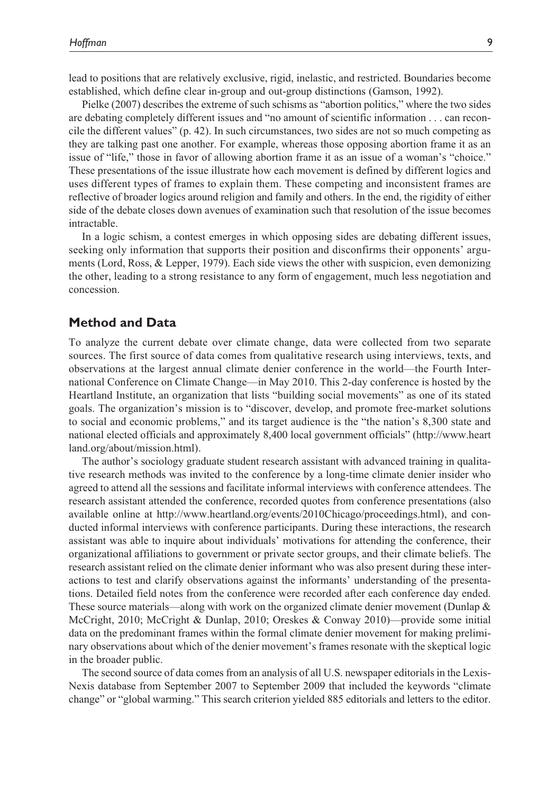lead to positions that are relatively exclusive, rigid, inelastic, and restricted. Boundaries become established, which define clear in-group and out-group distinctions (Gamson, 1992).

Pielke (2007) describes the extreme of such schisms as "abortion politics," where the two sides are debating completely different issues and "no amount of scientific information . . . can reconcile the different values" (p. 42). In such circumstances, two sides are not so much competing as they are talking past one another. For example, whereas those opposing abortion frame it as an issue of "life," those in favor of allowing abortion frame it as an issue of a woman's "choice." These presentations of the issue illustrate how each movement is defined by different logics and uses different types of frames to explain them. These competing and inconsistent frames are reflective of broader logics around religion and family and others. In the end, the rigidity of either side of the debate closes down avenues of examination such that resolution of the issue becomes intractable.

In a logic schism, a contest emerges in which opposing sides are debating different issues, seeking only information that supports their position and disconfirms their opponents' arguments (Lord, Ross, & Lepper, 1979). Each side views the other with suspicion, even demonizing the other, leading to a strong resistance to any form of engagement, much less negotiation and concession.

# **Method and Data**

To analyze the current debate over climate change, data were collected from two separate sources. The first source of data comes from qualitative research using interviews, texts, and observations at the largest annual climate denier conference in the world—the Fourth International Conference on Climate Change—in May 2010. This 2-day conference is hosted by the Heartland Institute, an organization that lists "building social movements" as one of its stated goals. The organization's mission is to "discover, develop, and promote free-market solutions to social and economic problems," and its target audience is the "the nation's 8,300 state and national elected officials and approximately 8,400 local government officials" (http://www.heart land.org/about/mission.html).

The author's sociology graduate student research assistant with advanced training in qualitative research methods was invited to the conference by a long-time climate denier insider who agreed to attend all the sessions and facilitate informal interviews with conference attendees. The research assistant attended the conference, recorded quotes from conference presentations (also available online at http://www.heartland.org/events/2010Chicago/proceedings.html), and conducted informal interviews with conference participants. During these interactions, the research assistant was able to inquire about individuals' motivations for attending the conference, their organizational affiliations to government or private sector groups, and their climate beliefs. The research assistant relied on the climate denier informant who was also present during these interactions to test and clarify observations against the informants' understanding of the presentations. Detailed field notes from the conference were recorded after each conference day ended. These source materials—along with work on the organized climate denier movement (Dunlap  $\&$ McCright, 2010; McCright & Dunlap, 2010; Oreskes & Conway 2010)—provide some initial data on the predominant frames within the formal climate denier movement for making preliminary observations about which of the denier movement's frames resonate with the skeptical logic in the broader public.

The second source of data comes from an analysis of all U.S. newspaper editorials in the Lexis-Nexis database from September 2007 to September 2009 that included the keywords "climate change" or "global warming." This search criterion yielded 885 editorials and letters to the editor.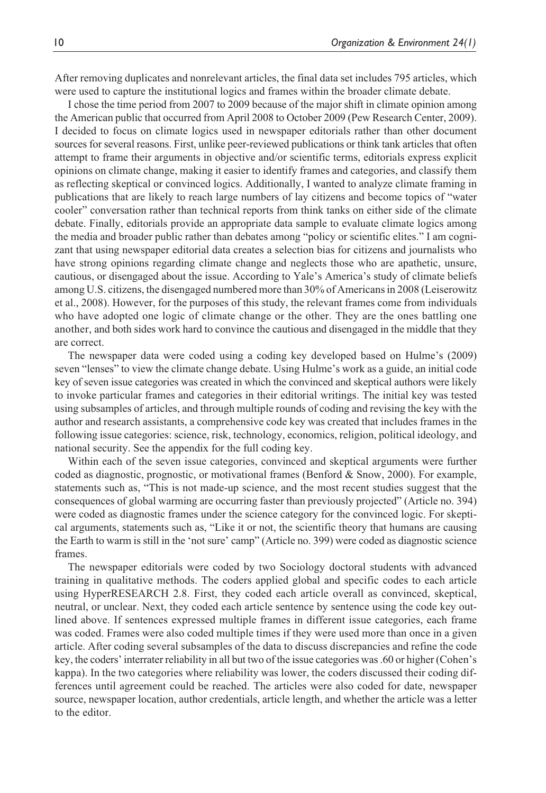After removing duplicates and nonrelevant articles, the final data set includes 795 articles, which were used to capture the institutional logics and frames within the broader climate debate.

I chose the time period from 2007 to 2009 because of the major shift in climate opinion among the American public that occurred from April 2008 to October 2009 (Pew Research Center, 2009). I decided to focus on climate logics used in newspaper editorials rather than other document sources for several reasons. First, unlike peer-reviewed publications or think tank articles that often attempt to frame their arguments in objective and/or scientific terms, editorials express explicit opinions on climate change, making it easier to identify frames and categories, and classify them as reflecting skeptical or convinced logics. Additionally, I wanted to analyze climate framing in publications that are likely to reach large numbers of lay citizens and become topics of "water cooler" conversation rather than technical reports from think tanks on either side of the climate debate. Finally, editorials provide an appropriate data sample to evaluate climate logics among the media and broader public rather than debates among "policy or scientific elites." I am cognizant that using newspaper editorial data creates a selection bias for citizens and journalists who have strong opinions regarding climate change and neglects those who are apathetic, unsure, cautious, or disengaged about the issue. According to Yale's America's study of climate beliefs among U.S. citizens, the disengaged numbered more than 30% of Americans in 2008 (Leiserowitz et al., 2008). However, for the purposes of this study, the relevant frames come from individuals who have adopted one logic of climate change or the other. They are the ones battling one another, and both sides work hard to convince the cautious and disengaged in the middle that they are correct.

The newspaper data were coded using a coding key developed based on Hulme's (2009) seven "lenses" to view the climate change debate. Using Hulme's work as a guide, an initial code key of seven issue categories was created in which the convinced and skeptical authors were likely to invoke particular frames and categories in their editorial writings. The initial key was tested using subsamples of articles, and through multiple rounds of coding and revising the key with the author and research assistants, a comprehensive code key was created that includes frames in the following issue categories: science, risk, technology, economics, religion, political ideology, and national security. See the appendix for the full coding key.

Within each of the seven issue categories, convinced and skeptical arguments were further coded as diagnostic, prognostic, or motivational frames (Benford & Snow, 2000). For example, statements such as, "This is not made-up science, and the most recent studies suggest that the consequences of global warming are occurring faster than previously projected" (Article no. 394) were coded as diagnostic frames under the science category for the convinced logic. For skeptical arguments, statements such as, "Like it or not, the scientific theory that humans are causing the Earth to warm is still in the 'not sure' camp" (Article no. 399) were coded as diagnostic science frames.

The newspaper editorials were coded by two Sociology doctoral students with advanced training in qualitative methods. The coders applied global and specific codes to each article using HyperRESEARCH 2.8. First, they coded each article overall as convinced, skeptical, neutral, or unclear. Next, they coded each article sentence by sentence using the code key outlined above. If sentences expressed multiple frames in different issue categories, each frame was coded. Frames were also coded multiple times if they were used more than once in a given article. After coding several subsamples of the data to discuss discrepancies and refine the code key, the coders' interrater reliability in all but two of the issue categories was .60 or higher (Cohen's kappa). In the two categories where reliability was lower, the coders discussed their coding differences until agreement could be reached. The articles were also coded for date, newspaper source, newspaper location, author credentials, article length, and whether the article was a letter to the editor.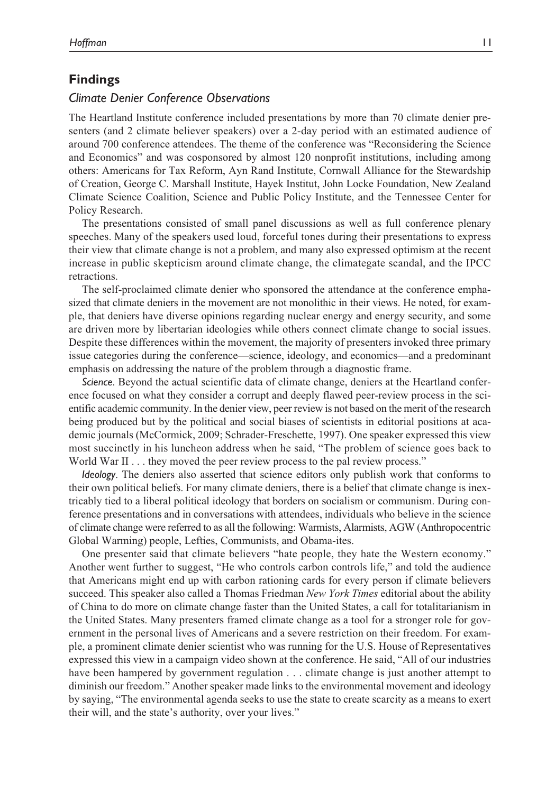# **Findings**

### *Climate Denier Conference Observations*

The Heartland Institute conference included presentations by more than 70 climate denier presenters (and 2 climate believer speakers) over a 2-day period with an estimated audience of around 700 conference attendees. The theme of the conference was "Reconsidering the Science and Economics" and was cosponsored by almost 120 nonprofit institutions, including among others: Americans for Tax Reform, Ayn Rand Institute, Cornwall Alliance for the Stewardship of Creation, George C. Marshall Institute, Hayek Institut, John Locke Foundation, New Zealand Climate Science Coalition, Science and Public Policy Institute, and the Tennessee Center for Policy Research.

The presentations consisted of small panel discussions as well as full conference plenary speeches. Many of the speakers used loud, forceful tones during their presentations to express their view that climate change is not a problem, and many also expressed optimism at the recent increase in public skepticism around climate change, the climategate scandal, and the IPCC retractions.

The self-proclaimed climate denier who sponsored the attendance at the conference emphasized that climate deniers in the movement are not monolithic in their views. He noted, for example, that deniers have diverse opinions regarding nuclear energy and energy security, and some are driven more by libertarian ideologies while others connect climate change to social issues. Despite these differences within the movement, the majority of presenters invoked three primary issue categories during the conference—science, ideology, and economics—and a predominant emphasis on addressing the nature of the problem through a diagnostic frame.

*Science*. Beyond the actual scientific data of climate change, deniers at the Heartland conference focused on what they consider a corrupt and deeply flawed peer-review process in the scientific academic community. In the denier view, peer review is not based on the merit of the research being produced but by the political and social biases of scientists in editorial positions at academic journals (McCormick, 2009; Schrader-Freschette, 1997). One speaker expressed this view most succinctly in his luncheon address when he said, "The problem of science goes back to World War II . . . they moved the peer review process to the pal review process."

*Ideology*. The deniers also asserted that science editors only publish work that conforms to their own political beliefs. For many climate deniers, there is a belief that climate change is inextricably tied to a liberal political ideology that borders on socialism or communism. During conference presentations and in conversations with attendees, individuals who believe in the science of climate change were referred to as all the following: Warmists, Alarmists, AGW (Anthropocentric Global Warming) people, Lefties, Communists, and Obama-ites.

One presenter said that climate believers "hate people, they hate the Western economy." Another went further to suggest, "He who controls carbon controls life," and told the audience that Americans might end up with carbon rationing cards for every person if climate believers succeed. This speaker also called a Thomas Friedman *New York Times* editorial about the ability of China to do more on climate change faster than the United States, a call for totalitarianism in the United States. Many presenters framed climate change as a tool for a stronger role for government in the personal lives of Americans and a severe restriction on their freedom. For example, a prominent climate denier scientist who was running for the U.S. House of Representatives expressed this view in a campaign video shown at the conference. He said, "All of our industries have been hampered by government regulation . . . climate change is just another attempt to diminish our freedom." Another speaker made links to the environmental movement and ideology by saying, "The environmental agenda seeks to use the state to create scarcity as a means to exert their will, and the state's authority, over your lives."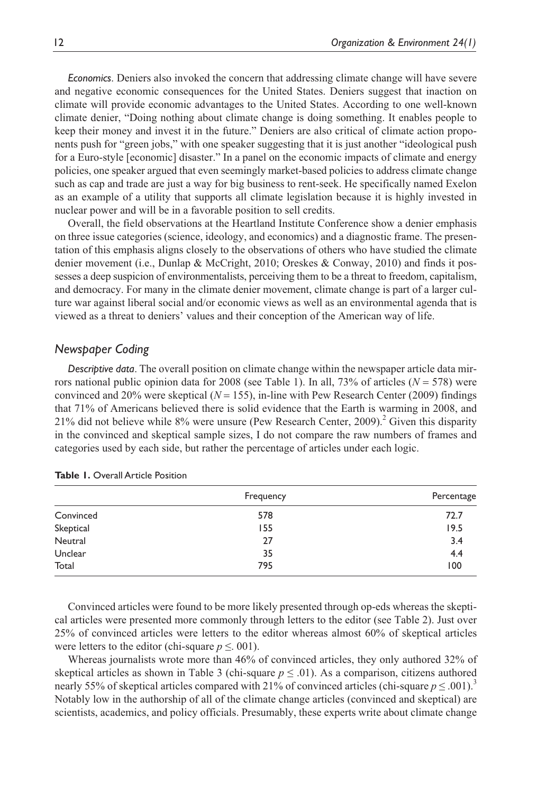*Economics*. Deniers also invoked the concern that addressing climate change will have severe and negative economic consequences for the United States. Deniers suggest that inaction on climate will provide economic advantages to the United States. According to one well-known climate denier, "Doing nothing about climate change is doing something. It enables people to keep their money and invest it in the future." Deniers are also critical of climate action proponents push for "green jobs," with one speaker suggesting that it is just another "ideological push for a Euro-style [economic] disaster." In a panel on the economic impacts of climate and energy policies, one speaker argued that even seemingly market-based policies to address climate change such as cap and trade are just a way for big business to rent-seek. He specifically named Exelon as an example of a utility that supports all climate legislation because it is highly invested in nuclear power and will be in a favorable position to sell credits.

Overall, the field observations at the Heartland Institute Conference show a denier emphasis on three issue categories (science, ideology, and economics) and a diagnostic frame. The presentation of this emphasis aligns closely to the observations of others who have studied the climate denier movement (i.e., Dunlap & McCright, 2010; Oreskes & Conway, 2010) and finds it possesses a deep suspicion of environmentalists, perceiving them to be a threat to freedom, capitalism, and democracy. For many in the climate denier movement, climate change is part of a larger culture war against liberal social and/or economic views as well as an environmental agenda that is viewed as a threat to deniers' values and their conception of the American way of life.

# *Newspaper Coding*

*Descriptive data*. The overall position on climate change within the newspaper article data mirrors national public opinion data for 2008 (see Table 1). In all, 73% of articles (*N* = 578) were convinced and 20% were skeptical  $(N = 155)$ , in-line with Pew Research Center (2009) findings that 71% of Americans believed there is solid evidence that the Earth is warming in 2008, and 21% did not believe while  $8\%$  were unsure (Pew Research Center, 2009).<sup>2</sup> Given this disparity in the convinced and skeptical sample sizes, I do not compare the raw numbers of frames and categories used by each side, but rather the percentage of articles under each logic.

|           | Frequency | Percentage |
|-----------|-----------|------------|
| Convinced | 578       | 72.7       |
| Skeptical | 155       | 19.5       |
| Neutral   | 27        | 3.4        |
| Unclear   | 35        | 4.4        |
| Total     | 795       | 100        |

|  |  |  |  | <b>Table 1.</b> Overall Article Position |
|--|--|--|--|------------------------------------------|
|--|--|--|--|------------------------------------------|

Convinced articles were found to be more likely presented through op-eds whereas the skeptical articles were presented more commonly through letters to the editor (see Table 2). Just over 25% of convinced articles were letters to the editor whereas almost 60% of skeptical articles were letters to the editor (chi-square  $p \leq 0.001$ ).

Whereas journalists wrote more than 46% of convinced articles, they only authored 32% of skeptical articles as shown in Table 3 (chi-square  $p \leq .01$ ). As a comparison, citizens authored nearly 55% of skeptical articles compared with 21% of convinced articles (chi-square  $p \leq .001$ ).<sup>3</sup> Notably low in the authorship of all of the climate change articles (convinced and skeptical) are scientists, academics, and policy officials. Presumably, these experts write about climate change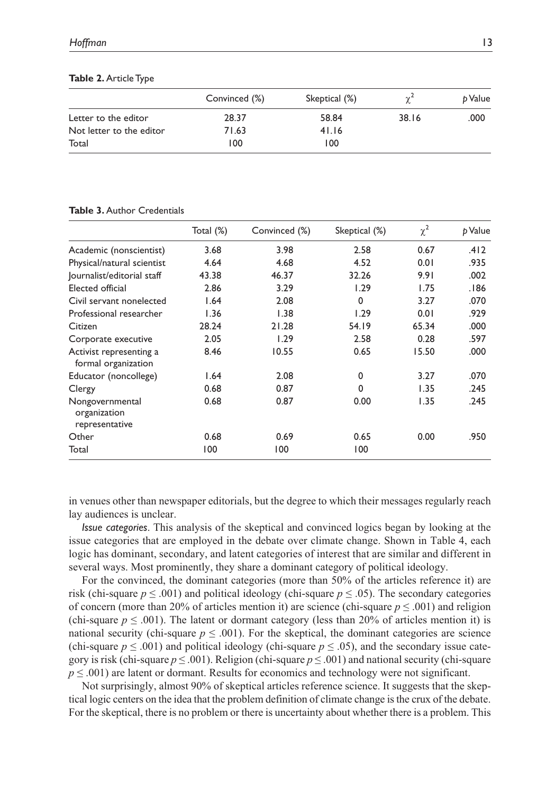#### **Table 2.** Article Type

|                          | Convinced (%) | Skeptical (%) | $\gamma^2$ | b Value |
|--------------------------|---------------|---------------|------------|---------|
| Letter to the editor     | 28.37         | 58.84         | 38.16      | .000    |
| Not letter to the editor | 71.63         | 41.16         |            |         |
| Total                    | 100           | 100           |            |         |

|                                                   | Total (%) | Convinced (%) | Skeptical (%) | $\chi^2$ | b Value |
|---------------------------------------------------|-----------|---------------|---------------|----------|---------|
| Academic (nonscientist)                           | 3.68      | 3.98          | 2.58          | 0.67     | .412    |
| Physical/natural scientist                        | 4.64      | 4.68          | 4.52          | 0.01     | .935    |
| Journalist/editorial staff                        | 43.38     | 46.37         | 32.26         | 9.91     | .002    |
| Elected official                                  | 2.86      | 3.29          | 1.29          | 1.75     | .186    |
| Civil servant nonelected                          | 1.64      | 2.08          | $\mathbf 0$   | 3.27     | .070    |
| Professional researcher                           | 1.36      | 1.38          | 1.29          | 0.01     | .929    |
| Citizen                                           | 28.24     | 21.28         | 54.19         | 65.34    | .000    |
| Corporate executive                               | 2.05      | 1.29          | 2.58          | 0.28     | .597    |
| Activist representing a<br>formal organization    | 8.46      | 10.55         | 0.65          | 15.50    | .000    |
| Educator (noncollege)                             | 1.64      | 2.08          | 0             | 3.27     | .070    |
| Clergy                                            | 0.68      | 0.87          | $\Omega$      | 1.35     | .245    |
| Nongovernmental<br>organization<br>representative | 0.68      | 0.87          | 0.00          | 1.35     | .245    |
| Other                                             | 0.68      | 0.69          | 0.65          | 0.00     | .950    |
| Total                                             | 100       | 100           | 100           |          |         |

#### **Table 3.** Author Credentials

in venues other than newspaper editorials, but the degree to which their messages regularly reach lay audiences is unclear.

*Issue categories*. This analysis of the skeptical and convinced logics began by looking at the issue categories that are employed in the debate over climate change. Shown in Table 4, each logic has dominant, secondary, and latent categories of interest that are similar and different in several ways. Most prominently, they share a dominant category of political ideology.

For the convinced, the dominant categories (more than 50% of the articles reference it) are risk (chi-square  $p \leq .001$ ) and political ideology (chi-square  $p \leq .05$ ). The secondary categories of concern (more than 20% of articles mention it) are science (chi-square  $p \leq .001$ ) and religion (chi-square  $p \leq .001$ ). The latent or dormant category (less than 20% of articles mention it) is national security (chi-square  $p \leq 0.001$ ). For the skeptical, the dominant categories are science (chi-square  $p \leq .001$ ) and political ideology (chi-square  $p \leq .05$ ), and the secondary issue category is risk (chi-square  $p \leq .001$ ). Religion (chi-square  $p \leq .001$ ) and national security (chi-square  $p \leq 0.001$ ) are latent or dormant. Results for economics and technology were not significant.

Not surprisingly, almost 90% of skeptical articles reference science. It suggests that the skeptical logic centers on the idea that the problem definition of climate change is the crux of the debate. For the skeptical, there is no problem or there is uncertainty about whether there is a problem. This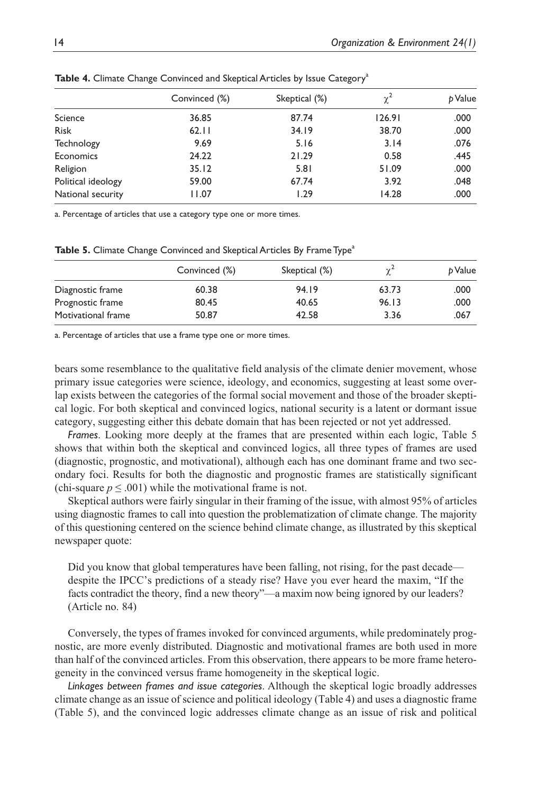|                    | Convinced (%) | Skeptical (%) | $\chi^2$ | p Value |
|--------------------|---------------|---------------|----------|---------|
| Science            | 36.85         | 87.74         | 126.91   | .000    |
| <b>Risk</b>        | 62.11         | 34.19         | 38.70    | .000    |
| Technology         | 9.69          | 5.16          | 3.14     | .076    |
| Economics          | 24.22         | 21.29         | 0.58     | .445    |
| Religion           | 35.12         | 5.81          | 51.09    | .000    |
| Political ideology | 59.00         | 67.74         | 3.92     | .048    |
| National security  | 11.07         | 1.29          | 14.28    | .000    |

**Table 4.** Climate Change Convinced and Skeptical Articles by Issue Category<sup>a</sup>

a. Percentage of articles that use a category type one or more times.

**Table 5.** Climate Change Convinced and Skeptical Articles By Frame Type<sup>a</sup>

|                    | Convinced (%) | Skeptical (%) | $\gamma^2$ | p Value |
|--------------------|---------------|---------------|------------|---------|
| Diagnostic frame   | 60.38         | 94.19         | 63.73      | .000    |
| Prognostic frame   | 80.45         | 40.65         | 96.13      | .000    |
| Motivational frame | 50.87         | 42.58         | 3.36       | .067    |

a. Percentage of articles that use a frame type one or more times.

bears some resemblance to the qualitative field analysis of the climate denier movement, whose primary issue categories were science, ideology, and economics, suggesting at least some overlap exists between the categories of the formal social movement and those of the broader skeptical logic. For both skeptical and convinced logics, national security is a latent or dormant issue category, suggesting either this debate domain that has been rejected or not yet addressed.

*Frames*. Looking more deeply at the frames that are presented within each logic, Table 5 shows that within both the skeptical and convinced logics, all three types of frames are used (diagnostic, prognostic, and motivational), although each has one dominant frame and two secondary foci. Results for both the diagnostic and prognostic frames are statistically significant (chi-square  $p \leq .001$ ) while the motivational frame is not.

Skeptical authors were fairly singular in their framing of the issue, with almost 95% of articles using diagnostic frames to call into question the problematization of climate change. The majority of this questioning centered on the science behind climate change, as illustrated by this skeptical newspaper quote:

Did you know that global temperatures have been falling, not rising, for the past decade despite the IPCC's predictions of a steady rise? Have you ever heard the maxim, "If the facts contradict the theory, find a new theory"—a maxim now being ignored by our leaders? (Article no. 84)

Conversely, the types of frames invoked for convinced arguments, while predominately prognostic, are more evenly distributed. Diagnostic and motivational frames are both used in more than half of the convinced articles. From this observation, there appears to be more frame heterogeneity in the convinced versus frame homogeneity in the skeptical logic.

*Linkages between frames and issue categories*. Although the skeptical logic broadly addresses climate change as an issue of science and political ideology (Table 4) and uses a diagnostic frame (Table 5), and the convinced logic addresses climate change as an issue of risk and political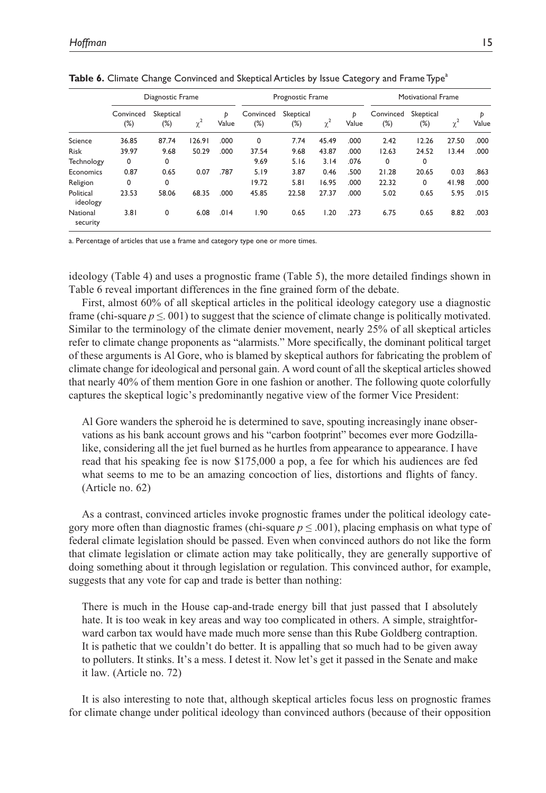|                       |                  | Diagnostic Frame    |          |            |                     | Prognostic Frame    |          |            |                     | <b>Motivational Frame</b> |          |            |
|-----------------------|------------------|---------------------|----------|------------|---------------------|---------------------|----------|------------|---------------------|---------------------------|----------|------------|
|                       | Convinced<br>(%) | Skeptical<br>$(\%)$ | $\chi^2$ | Þ<br>Value | Convinced<br>$(\%)$ | Skeptical<br>$(\%)$ | $\chi^2$ | Þ<br>Value | Convinced<br>$(\%)$ | Skeptical<br>$(\%)$       | $\chi^2$ | Þ<br>Value |
| Science               | 36.85            | 87.74               | 126.91   | .000       | 0                   | 7.74                | 45.49    | .000       | 2.42                | 12.26                     | 27.50    | .000       |
| Risk                  | 39.97            | 9.68                | 50.29    | .000       | 37.54               | 9.68                | 43.87    | .000       | 12.63               | 24.52                     | 13.44    | .000       |
| Technology            | 0                | 0                   |          |            | 9.69                | 5.16                | 3.14     | .076       | $\mathbf{0}$        | 0                         |          |            |
| Economics             | 0.87             | 0.65                | 0.07     | .787       | 5.19                | 3.87                | 0.46     | .500       | 21.28               | 20.65                     | 0.03     | .863       |
| Religion              | 0                | 0                   |          |            | 19.72               | 5.81                | 16.95    | .000       | 22.32               | 0                         | 41.98    | .000       |
| Political<br>ideology | 23.53            | 58.06               | 68.35    | .000       | 45.85               | 22.58               | 27.37    | .000       | 5.02                | 0.65                      | 5.95     | .015       |
| National<br>security  | 3.81             | 0                   | 6.08     | .014       | 1.90                | 0.65                | 1.20     | .273       | 6.75                | 0.65                      | 8.82     | .003       |

**Table 6.** Climate Change Convinced and Skeptical Articles by Issue Category and Frame Type<sup>a</sup>

a. Percentage of articles that use a frame and category type one or more times.

ideology (Table 4) and uses a prognostic frame (Table 5), the more detailed findings shown in Table 6 reveal important differences in the fine grained form of the debate.

First, almost 60% of all skeptical articles in the political ideology category use a diagnostic frame (chi-square  $p \leq 0.001$ ) to suggest that the science of climate change is politically motivated. Similar to the terminology of the climate denier movement, nearly 25% of all skeptical articles refer to climate change proponents as "alarmists." More specifically, the dominant political target of these arguments is Al Gore, who is blamed by skeptical authors for fabricating the problem of climate change for ideological and personal gain. A word count of all the skeptical articles showed that nearly 40% of them mention Gore in one fashion or another. The following quote colorfully captures the skeptical logic's predominantly negative view of the former Vice President:

Al Gore wanders the spheroid he is determined to save, spouting increasingly inane observations as his bank account grows and his "carbon footprint" becomes ever more Godzillalike, considering all the jet fuel burned as he hurtles from appearance to appearance. I have read that his speaking fee is now \$175,000 a pop, a fee for which his audiences are fed what seems to me to be an amazing concoction of lies, distortions and flights of fancy. (Article no. 62)

As a contrast, convinced articles invoke prognostic frames under the political ideology category more often than diagnostic frames (chi-square  $p \leq .001$ ), placing emphasis on what type of federal climate legislation should be passed. Even when convinced authors do not like the form that climate legislation or climate action may take politically, they are generally supportive of doing something about it through legislation or regulation. This convinced author, for example, suggests that any vote for cap and trade is better than nothing:

There is much in the House cap-and-trade energy bill that just passed that I absolutely hate. It is too weak in key areas and way too complicated in others. A simple, straightforward carbon tax would have made much more sense than this Rube Goldberg contraption. It is pathetic that we couldn't do better. It is appalling that so much had to be given away to polluters. It stinks. It's a mess. I detest it. Now let's get it passed in the Senate and make it law. (Article no. 72)

It is also interesting to note that, although skeptical articles focus less on prognostic frames for climate change under political ideology than convinced authors (because of their opposition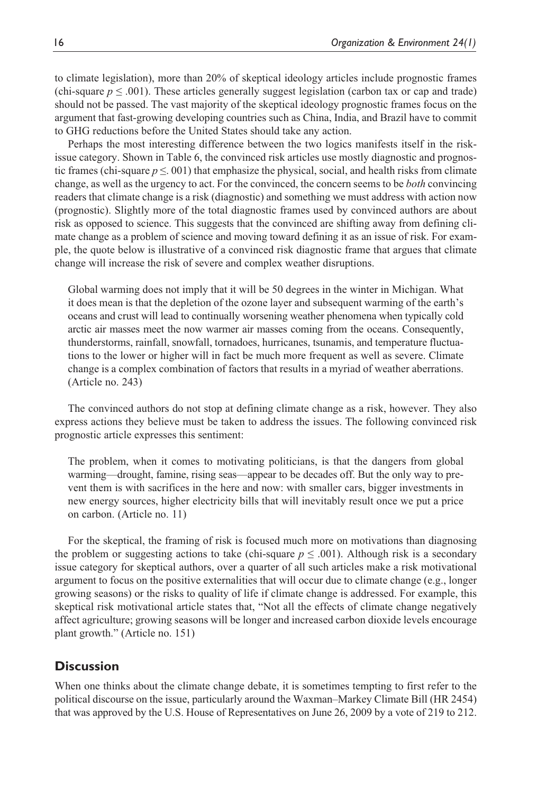to climate legislation), more than 20% of skeptical ideology articles include prognostic frames (chi-square  $p \leq .001$ ). These articles generally suggest legislation (carbon tax or cap and trade) should not be passed. The vast majority of the skeptical ideology prognostic frames focus on the argument that fast-growing developing countries such as China, India, and Brazil have to commit to GHG reductions before the United States should take any action.

Perhaps the most interesting difference between the two logics manifests itself in the riskissue category. Shown in Table 6, the convinced risk articles use mostly diagnostic and prognostic frames (chi-square  $p \leq 0.01$ ) that emphasize the physical, social, and health risks from climate change, as well as the urgency to act. For the convinced, the concern seems to be *both* convincing readers that climate change is a risk (diagnostic) and something we must address with action now (prognostic). Slightly more of the total diagnostic frames used by convinced authors are about risk as opposed to science. This suggests that the convinced are shifting away from defining climate change as a problem of science and moving toward defining it as an issue of risk. For example, the quote below is illustrative of a convinced risk diagnostic frame that argues that climate change will increase the risk of severe and complex weather disruptions.

Global warming does not imply that it will be 50 degrees in the winter in Michigan. What it does mean is that the depletion of the ozone layer and subsequent warming of the earth's oceans and crust will lead to continually worsening weather phenomena when typically cold arctic air masses meet the now warmer air masses coming from the oceans. Consequently, thunderstorms, rainfall, snowfall, tornadoes, hurricanes, tsunamis, and temperature fluctuations to the lower or higher will in fact be much more frequent as well as severe. Climate change is a complex combination of factors that results in a myriad of weather aberrations. (Article no. 243)

The convinced authors do not stop at defining climate change as a risk, however. They also express actions they believe must be taken to address the issues. The following convinced risk prognostic article expresses this sentiment:

The problem, when it comes to motivating politicians, is that the dangers from global warming—drought, famine, rising seas—appear to be decades off. But the only way to prevent them is with sacrifices in the here and now: with smaller cars, bigger investments in new energy sources, higher electricity bills that will inevitably result once we put a price on carbon. (Article no. 11)

For the skeptical, the framing of risk is focused much more on motivations than diagnosing the problem or suggesting actions to take (chi-square  $p \leq .001$ ). Although risk is a secondary issue category for skeptical authors, over a quarter of all such articles make a risk motivational argument to focus on the positive externalities that will occur due to climate change (e.g., longer growing seasons) or the risks to quality of life if climate change is addressed. For example, this skeptical risk motivational article states that, "Not all the effects of climate change negatively affect agriculture; growing seasons will be longer and increased carbon dioxide levels encourage plant growth." (Article no. 151)

# **Discussion**

When one thinks about the climate change debate, it is sometimes tempting to first refer to the political discourse on the issue, particularly around the Waxman–Markey Climate Bill (HR 2454) that was approved by the U.S. House of Representatives on June 26, 2009 by a vote of 219 to 212.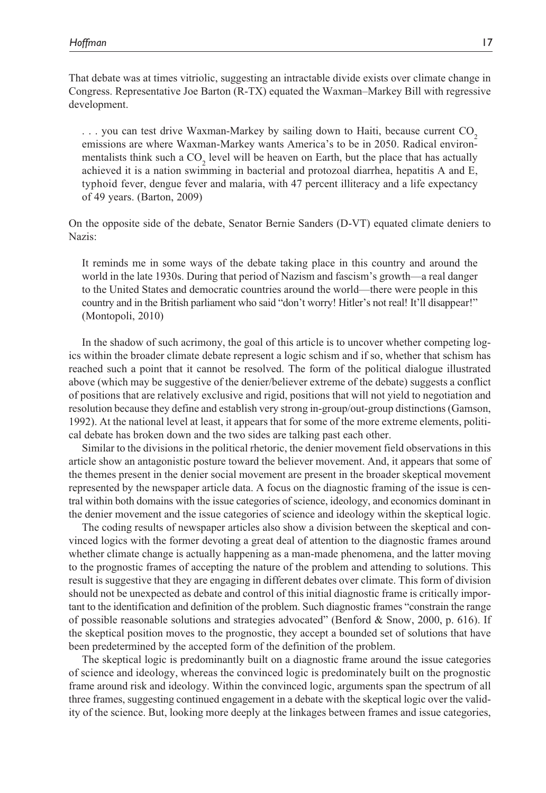That debate was at times vitriolic, suggesting an intractable divide exists over climate change in Congress. Representative Joe Barton (R-TX) equated the Waxman–Markey Bill with regressive development.

 $\ldots$  you can test drive Waxman-Markey by sailing down to Haiti, because current CO<sub>2</sub> emissions are where Waxman-Markey wants America's to be in 2050. Radical environmentalists think such a  $CO<sub>2</sub>$  level will be heaven on Earth, but the place that has actually achieved it is a nation swimming in bacterial and protozoal diarrhea, hepatitis A and E, typhoid fever, dengue fever and malaria, with 47 percent illiteracy and a life expectancy of 49 years. (Barton, 2009)

On the opposite side of the debate, Senator Bernie Sanders (D-VT) equated climate deniers to Nazis:

It reminds me in some ways of the debate taking place in this country and around the world in the late 1930s. During that period of Nazism and fascism's growth—a real danger to the United States and democratic countries around the world—there were people in this country and in the British parliament who said "don't worry! Hitler's not real! It'll disappear!" (Montopoli, 2010)

In the shadow of such acrimony, the goal of this article is to uncover whether competing logics within the broader climate debate represent a logic schism and if so, whether that schism has reached such a point that it cannot be resolved. The form of the political dialogue illustrated above (which may be suggestive of the denier/believer extreme of the debate) suggests a conflict of positions that are relatively exclusive and rigid, positions that will not yield to negotiation and resolution because they define and establish very strong in-group/out-group distinctions (Gamson, 1992). At the national level at least, it appears that for some of the more extreme elements, political debate has broken down and the two sides are talking past each other.

Similar to the divisions in the political rhetoric, the denier movement field observations in this article show an antagonistic posture toward the believer movement. And, it appears that some of the themes present in the denier social movement are present in the broader skeptical movement represented by the newspaper article data. A focus on the diagnostic framing of the issue is central within both domains with the issue categories of science, ideology, and economics dominant in the denier movement and the issue categories of science and ideology within the skeptical logic.

The coding results of newspaper articles also show a division between the skeptical and convinced logics with the former devoting a great deal of attention to the diagnostic frames around whether climate change is actually happening as a man-made phenomena, and the latter moving to the prognostic frames of accepting the nature of the problem and attending to solutions. This result is suggestive that they are engaging in different debates over climate. This form of division should not be unexpected as debate and control of this initial diagnostic frame is critically important to the identification and definition of the problem. Such diagnostic frames "constrain the range of possible reasonable solutions and strategies advocated" (Benford & Snow, 2000, p. 616). If the skeptical position moves to the prognostic, they accept a bounded set of solutions that have been predetermined by the accepted form of the definition of the problem.

The skeptical logic is predominantly built on a diagnostic frame around the issue categories of science and ideology, whereas the convinced logic is predominately built on the prognostic frame around risk and ideology. Within the convinced logic, arguments span the spectrum of all three frames, suggesting continued engagement in a debate with the skeptical logic over the validity of the science. But, looking more deeply at the linkages between frames and issue categories,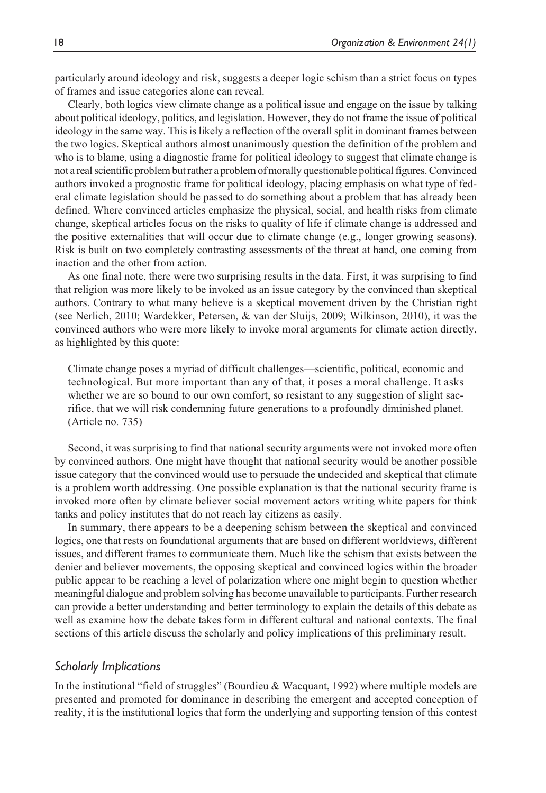particularly around ideology and risk, suggests a deeper logic schism than a strict focus on types of frames and issue categories alone can reveal.

Clearly, both logics view climate change as a political issue and engage on the issue by talking about political ideology, politics, and legislation. However, they do not frame the issue of political ideology in the same way. This is likely a reflection of the overall split in dominant frames between the two logics. Skeptical authors almost unanimously question the definition of the problem and who is to blame, using a diagnostic frame for political ideology to suggest that climate change is not a real scientific problem but rather a problem of morally questionable political figures. Convinced authors invoked a prognostic frame for political ideology, placing emphasis on what type of federal climate legislation should be passed to do something about a problem that has already been defined. Where convinced articles emphasize the physical, social, and health risks from climate change, skeptical articles focus on the risks to quality of life if climate change is addressed and the positive externalities that will occur due to climate change (e.g., longer growing seasons). Risk is built on two completely contrasting assessments of the threat at hand, one coming from inaction and the other from action.

As one final note, there were two surprising results in the data. First, it was surprising to find that religion was more likely to be invoked as an issue category by the convinced than skeptical authors. Contrary to what many believe is a skeptical movement driven by the Christian right (see Nerlich, 2010; Wardekker, Petersen, & van der Sluijs, 2009; Wilkinson, 2010), it was the convinced authors who were more likely to invoke moral arguments for climate action directly, as highlighted by this quote:

Climate change poses a myriad of difficult challenges—scientific, political, economic and technological. But more important than any of that, it poses a moral challenge. It asks whether we are so bound to our own comfort, so resistant to any suggestion of slight sacrifice, that we will risk condemning future generations to a profoundly diminished planet. (Article no. 735)

Second, it was surprising to find that national security arguments were not invoked more often by convinced authors. One might have thought that national security would be another possible issue category that the convinced would use to persuade the undecided and skeptical that climate is a problem worth addressing. One possible explanation is that the national security frame is invoked more often by climate believer social movement actors writing white papers for think tanks and policy institutes that do not reach lay citizens as easily.

In summary, there appears to be a deepening schism between the skeptical and convinced logics, one that rests on foundational arguments that are based on different worldviews, different issues, and different frames to communicate them. Much like the schism that exists between the denier and believer movements, the opposing skeptical and convinced logics within the broader public appear to be reaching a level of polarization where one might begin to question whether meaningful dialogue and problem solving has become unavailable to participants. Further research can provide a better understanding and better terminology to explain the details of this debate as well as examine how the debate takes form in different cultural and national contexts. The final sections of this article discuss the scholarly and policy implications of this preliminary result.

### *Scholarly Implications*

In the institutional "field of struggles" (Bourdieu & Wacquant, 1992) where multiple models are presented and promoted for dominance in describing the emergent and accepted conception of reality, it is the institutional logics that form the underlying and supporting tension of this contest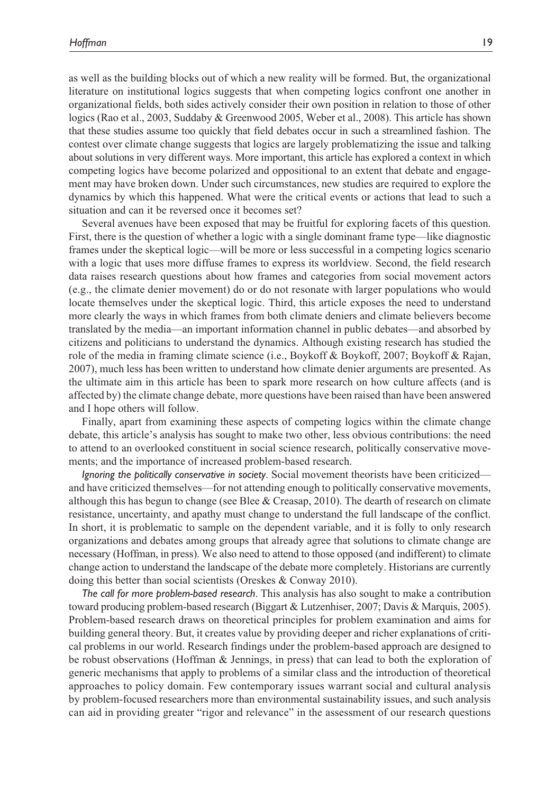as well as the building blocks out of which a new reality will be formed. But, the organizational literature on institutional logics suggests that when competing logics confront one another in organizational fields, both sides actively consider their own position in relation to those of other logics (Rao et al., 2003, Suddaby & Greenwood 2005, Weber et al., 2008). This article has shown that these studies assume too quickly that field debates occur in such a streamlined fashion. The contest over climate change suggests that logics are largely problematizing the issue and talking about solutions in very different ways. More important, this article has explored a context in which competing logics have become polarized and oppositional to an extent that debate and engagement may have broken down. Under such circumstances, new studies are required to explore the dynamics by which this happened. What were the critical events or actions that lead to such a situation and can it be reversed once it becomes set?

Several avenues have been exposed that may be fruitful for exploring facets of this question. First, there is the question of whether a logic with a single dominant frame type—like diagnostic frames under the skeptical logic—will be more or less successful in a competing logics scenario with a logic that uses more diffuse frames to express its worldview. Second, the field research data raises research questions about how frames and categories from social movement actors (e.g., the climate denier movement) do or do not resonate with larger populations who would locate themselves under the skeptical logic. Third, this article exposes the need to understand more clearly the ways in which frames from both climate deniers and climate believers become translated by the media—an important information channel in public debates—and absorbed by citizens and politicians to understand the dynamics. Although existing research has studied the role of the media in framing climate science (i.e., Boykoff & Boykoff, 2007; Boykoff & Rajan, 2007), much less has been written to understand how climate denier arguments are presented. As the ultimate aim in this article has been to spark more research on how culture affects (and is affected by) the climate change debate, more questions have been raised than have been answered and I hope others will follow.

Finally, apart from examining these aspects of competing logics within the climate change debate, this article's analysis has sought to make two other, less obvious contributions: the need to attend to an overlooked constituent in social science research, politically conservative movements; and the importance of increased problem-based research.

*Ignoring the politically conservative in society*. Social movement theorists have been criticized and have criticized themselves—for not attending enough to politically conservative movements, although this has begun to change (see Blee  $\&$  Creasap, 2010). The dearth of research on climate resistance, uncertainty, and apathy must change to understand the full landscape of the conflict. In short, it is problematic to sample on the dependent variable, and it is folly to only research organizations and debates among groups that already agree that solutions to climate change are necessary (Hoffman, in press). We also need to attend to those opposed (and indifferent) to climate change action to understand the landscape of the debate more completely. Historians are currently doing this better than social scientists (Oreskes & Conway 2010).

*The call for more problem-based research*. This analysis has also sought to make a contribution toward producing problem-based research (Biggart & Lutzenhiser, 2007; Davis & Marquis, 2005). Problem-based research draws on theoretical principles for problem examination and aims for building general theory. But, it creates value by providing deeper and richer explanations of critical problems in our world. Research findings under the problem-based approach are designed to be robust observations (Hoffman & Jennings, in press) that can lead to both the exploration of generic mechanisms that apply to problems of a similar class and the introduction of theoretical approaches to policy domain. Few contemporary issues warrant social and cultural analysis by problem-focused researchers more than environmental sustainability issues, and such analysis can aid in providing greater "rigor and relevance" in the assessment of our research questions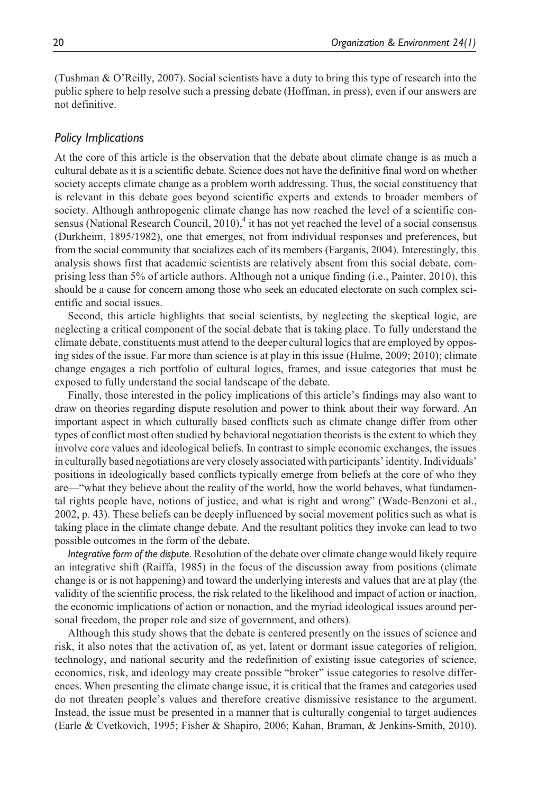(Tushman & O'Reilly, 2007). Social scientists have a duty to bring this type of research into the public sphere to help resolve such a pressing debate (Hoffman, in press), even if our answers are not definitive.

# *Policy Implications*

At the core of this article is the observation that the debate about climate change is as much a cultural debate as it is a scientific debate. Science does not have the definitive final word on whether society accepts climate change as a problem worth addressing. Thus, the social constituency that is relevant in this debate goes beyond scientific experts and extends to broader members of society. Although anthropogenic climate change has now reached the level of a scientific consensus (National Research Council, 2010),<sup>4</sup> it has not yet reached the level of a social consensus (Durkheim, 1895/1982), one that emerges, not from individual responses and preferences, but from the social community that socializes each of its members (Farganis, 2004). Interestingly, this analysis shows first that academic scientists are relatively absent from this social debate, comprising less than 5% of article authors. Although not a unique finding (i.e., Painter, 2010), this should be a cause for concern among those who seek an educated electorate on such complex scientific and social issues.

Second, this article highlights that social scientists, by neglecting the skeptical logic, are neglecting a critical component of the social debate that is taking place. To fully understand the climate debate, constituents must attend to the deeper cultural logics that are employed by opposing sides of the issue. Far more than science is at play in this issue (Hulme, 2009; 2010); climate change engages a rich portfolio of cultural logics, frames, and issue categories that must be exposed to fully understand the social landscape of the debate.

Finally, those interested in the policy implications of this article's findings may also want to draw on theories regarding dispute resolution and power to think about their way forward. An important aspect in which culturally based conflicts such as climate change differ from other types of conflict most often studied by behavioral negotiation theorists is the extent to which they involve core values and ideological beliefs. In contrast to simple economic exchanges, the issues in culturally based negotiations are very closely associated with participants' identity. Individuals' positions in ideologically based conflicts typically emerge from beliefs at the core of who they are—"what they believe about the reality of the world, how the world behaves, what fundamental rights people have, notions of justice, and what is right and wrong" (Wade-Benzoni et al., 2002, p. 43). These beliefs can be deeply influenced by social movement politics such as what is taking place in the climate change debate. And the resultant politics they invoke can lead to two possible outcomes in the form of the debate.

*Integrative form of the dispute*. Resolution of the debate over climate change would likely require an integrative shift (Raiffa, 1985) in the focus of the discussion away from positions (climate change is or is not happening) and toward the underlying interests and values that are at play (the validity of the scientific process, the risk related to the likelihood and impact of action or inaction, the economic implications of action or nonaction, and the myriad ideological issues around personal freedom, the proper role and size of government, and others).

Although this study shows that the debate is centered presently on the issues of science and risk, it also notes that the activation of, as yet, latent or dormant issue categories of religion, technology, and national security and the redefinition of existing issue categories of science, economics, risk, and ideology may create possible "broker" issue categories to resolve differences. When presenting the climate change issue, it is critical that the frames and categories used do not threaten people's values and therefore creative dismissive resistance to the argument. Instead, the issue must be presented in a manner that is culturally congenial to target audiences (Earle & Cvetkovich, 1995; Fisher & Shapiro, 2006; Kahan, Braman, & Jenkins-Smith, 2010).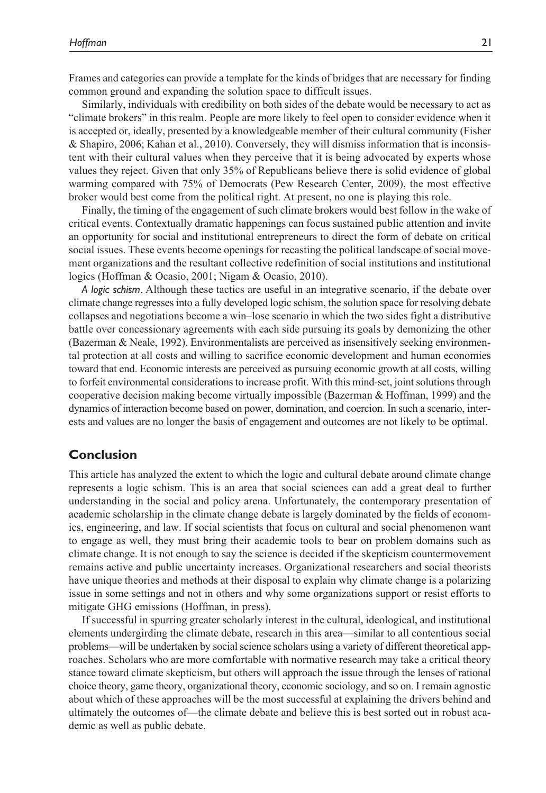Frames and categories can provide a template for the kinds of bridges that are necessary for finding common ground and expanding the solution space to difficult issues.

Similarly, individuals with credibility on both sides of the debate would be necessary to act as "climate brokers" in this realm. People are more likely to feel open to consider evidence when it is accepted or, ideally, presented by a knowledgeable member of their cultural community (Fisher & Shapiro, 2006; Kahan et al., 2010). Conversely, they will dismiss information that is inconsistent with their cultural values when they perceive that it is being advocated by experts whose values they reject. Given that only 35% of Republicans believe there is solid evidence of global warming compared with 75% of Democrats (Pew Research Center, 2009), the most effective broker would best come from the political right. At present, no one is playing this role.

Finally, the timing of the engagement of such climate brokers would best follow in the wake of critical events. Contextually dramatic happenings can focus sustained public attention and invite an opportunity for social and institutional entrepreneurs to direct the form of debate on critical social issues. These events become openings for recasting the political landscape of social movement organizations and the resultant collective redefinition of social institutions and institutional logics (Hoffman & Ocasio, 2001; Nigam & Ocasio, 2010).

*A logic schism*. Although these tactics are useful in an integrative scenario, if the debate over climate change regresses into a fully developed logic schism, the solution space for resolving debate collapses and negotiations become a win–lose scenario in which the two sides fight a distributive battle over concessionary agreements with each side pursuing its goals by demonizing the other (Bazerman & Neale, 1992). Environmentalists are perceived as insensitively seeking environmental protection at all costs and willing to sacrifice economic development and human economies toward that end. Economic interests are perceived as pursuing economic growth at all costs, willing to forfeit environmental considerations to increase profit. With this mind-set, joint solutions through cooperative decision making become virtually impossible (Bazerman & Hoffman, 1999) and the dynamics of interaction become based on power, domination, and coercion. In such a scenario, interests and values are no longer the basis of engagement and outcomes are not likely to be optimal.

# **Conclusion**

This article has analyzed the extent to which the logic and cultural debate around climate change represents a logic schism. This is an area that social sciences can add a great deal to further understanding in the social and policy arena. Unfortunately, the contemporary presentation of academic scholarship in the climate change debate is largely dominated by the fields of economics, engineering, and law. If social scientists that focus on cultural and social phenomenon want to engage as well, they must bring their academic tools to bear on problem domains such as climate change. It is not enough to say the science is decided if the skepticism countermovement remains active and public uncertainty increases. Organizational researchers and social theorists have unique theories and methods at their disposal to explain why climate change is a polarizing issue in some settings and not in others and why some organizations support or resist efforts to mitigate GHG emissions (Hoffman, in press).

If successful in spurring greater scholarly interest in the cultural, ideological, and institutional elements undergirding the climate debate, research in this area—similar to all contentious social problems—will be undertaken by social science scholars using a variety of different theoretical approaches. Scholars who are more comfortable with normative research may take a critical theory stance toward climate skepticism, but others will approach the issue through the lenses of rational choice theory, game theory, organizational theory, economic sociology, and so on. I remain agnostic about which of these approaches will be the most successful at explaining the drivers behind and ultimately the outcomes of—the climate debate and believe this is best sorted out in robust academic as well as public debate.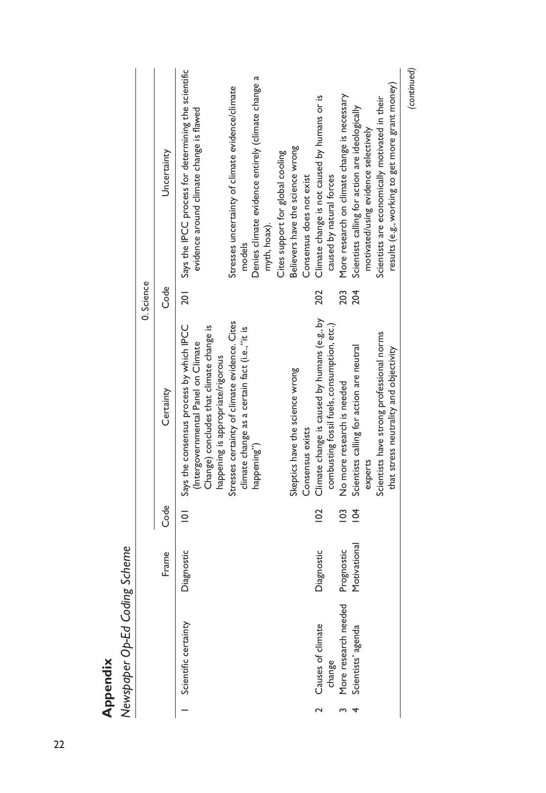| Newspaper Op-Ed Coding Scheme<br>Appendix |              |                |                                                                                                                                                                  |                |                                                                                                   |
|-------------------------------------------|--------------|----------------|------------------------------------------------------------------------------------------------------------------------------------------------------------------|----------------|---------------------------------------------------------------------------------------------------|
|                                           |              |                |                                                                                                                                                                  | 0. Science     |                                                                                                   |
|                                           | Frame        | Code           | Certainty                                                                                                                                                        | Code           | Uncertainty                                                                                       |
| Scientific certainty                      | Diagnostic   | $\overline{6}$ | Says the consensus process by which IPCC<br>Change) concludes that climate change is<br>(Intergovernmental Panel on Climate<br>happening is appropriate/rigorous | $\frac{20}{ }$ | Says the IPCC process for determining the scientific<br>evidence around climate change is flawed  |
|                                           |              |                | Stresses certainty of climate evidence. Cites<br>climate change as a certain fact (i.e., "it is                                                                  |                | Stresses uncertainty of climate evidence/climate<br>models                                        |
|                                           |              |                | happening")                                                                                                                                                      |                | Denies climate evidence entirely (climate change a<br>myth, hoax).                                |
|                                           |              |                |                                                                                                                                                                  |                | Cites support for global cooling                                                                  |
|                                           |              |                | Skeptics have the science wrong                                                                                                                                  |                | Believers have the science wrong                                                                  |
|                                           |              |                | Consensus exists                                                                                                                                                 |                | Consensus does not exist                                                                          |
| Causes of climate<br>change               | Diagnostic   | $\frac{2}{3}$  | Climate change is caused by humans (e.g., by<br>combusting fossil fuels, consumption, etc.)                                                                      | 202            | Climate change is not caused by humans or is<br>caused by natural forces                          |
| More research needed                      | Prognostic   | $\overline{0}$ | No more research is needed                                                                                                                                       | 203            | More research on climate change is necessary                                                      |
| Scientists' agenda                        | Motivational | $\overline{5}$ | Scientists calling for action are neutral<br>experts                                                                                                             | 204            | Scientists calling for action are ideologically<br>motivated/using evidence selectively           |
|                                           |              |                | Scientists have strong professional norms<br>that stress neutrality and objectivity                                                                              |                | results (e.g., working to get more grant money)<br>Scientists are economically motivated in their |
|                                           |              |                |                                                                                                                                                                  |                | (continued)                                                                                       |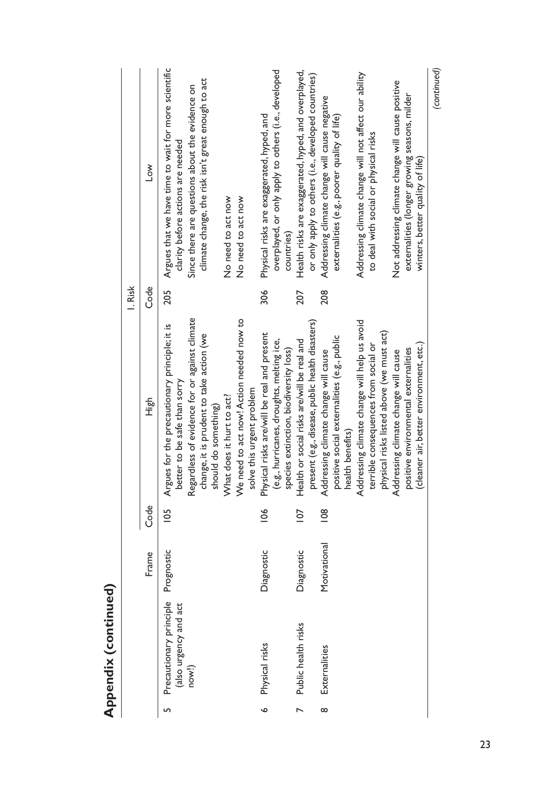|   |                                                  |              |                |                                                                                                                   | I. Risk |                                                                                                       |
|---|--------------------------------------------------|--------------|----------------|-------------------------------------------------------------------------------------------------------------------|---------|-------------------------------------------------------------------------------------------------------|
|   |                                                  | Frame        | Code           | tigh                                                                                                              | Code    | $\sum_{i=1}^{n}$                                                                                      |
| 5 | Precautionary principle<br>(also urgency and act | Prognostic   | $\frac{5}{2}$  | Argues for the precautionary principle; it is<br>better to be safe than sorry                                     | 205     | Argues that we have time to wait for more scientific<br>clarity before actions are needed             |
|   | now!)                                            |              |                | Regardless of evidence for or against climate<br>change, it is prudent to take action (we<br>should do something) |         | climate change, the risk isn't great enough to act<br>Since there are questions about the evidence on |
|   |                                                  |              |                | What does it hurt to act?                                                                                         |         | No need to act now                                                                                    |
|   |                                                  |              |                | We need to act now! Action needed now to                                                                          |         | No need to act now                                                                                    |
|   |                                                  |              |                | solve this urgent problem                                                                                         |         |                                                                                                       |
| ∾ | Physical risks                                   | Diagnostic   | 106            | Physical risks are/will be real and present                                                                       | 306     | Physical risks are exaggerated, hyped, and                                                            |
|   |                                                  |              |                | (e.g., hurricanes, droughts, melting ice,                                                                         |         | overplayed, or only apply to others (i.e., developed                                                  |
|   |                                                  |              |                | species extinction, biodiversity loss)                                                                            |         | countries)                                                                                            |
| N | Public health risks                              | Diagnostic   | $\overline{0}$ | Health or social risks are/will be real and                                                                       | 207     | Health risks are exaggerated, hyped, and overplayed,                                                  |
|   |                                                  |              |                | present (e.g., disease, public health disasters)                                                                  |         | or only apply to others (i.e., developed countries)                                                   |
| ∞ | Externalities                                    | Motivational | $\frac{80}{2}$ | Addressing climate change will cause                                                                              | 208     | Addressing climate change will cause negative                                                         |
|   |                                                  |              |                | positive social externalities (e.g., public<br>health benefits)                                                   |         | externalities (e.g., poorer quality of life)                                                          |
|   |                                                  |              |                | Addressing climate change will help us avoid                                                                      |         | Addressing climate change will not affect our ability                                                 |
|   |                                                  |              |                | terrible consequences from social or                                                                              |         | to deal with social or physical risks                                                                 |
|   |                                                  |              |                | physical risks listed above (we must act)                                                                         |         |                                                                                                       |
|   |                                                  |              |                | Addressing climate change will cause                                                                              |         | Not addressing climate change will cause positive                                                     |
|   |                                                  |              |                | positive environmental externalities                                                                              |         | externalities (longer growing seasons, milder                                                         |
|   |                                                  |              |                | (cleaner air, better environment, etc.)                                                                           |         | winters, better quality of life)                                                                      |
|   |                                                  |              |                |                                                                                                                   |         | (continued)                                                                                           |

**Appendix (continued) Appendix (continued)**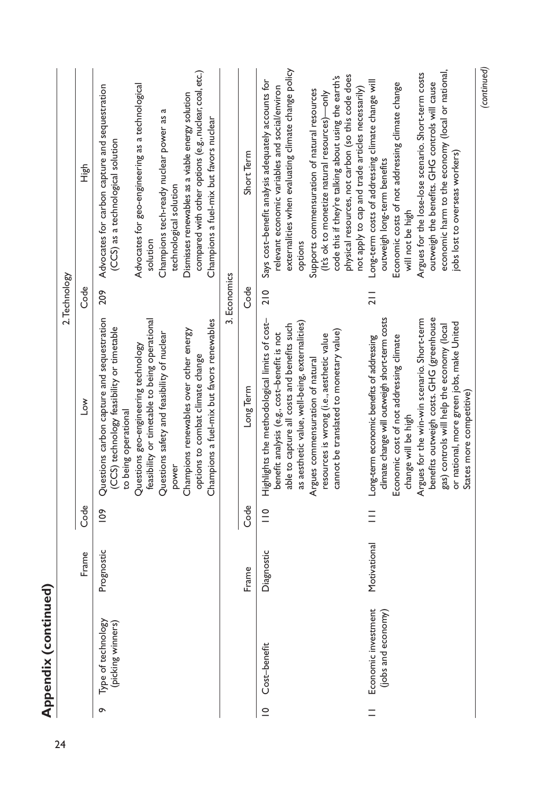|             | Appendix (continued)                      |              |               |                                                                                                                                                                                                                                                                                                                                                                                              |               |                                                                                                                                                                                                                                                                                                                                                                                                                                         |
|-------------|-------------------------------------------|--------------|---------------|----------------------------------------------------------------------------------------------------------------------------------------------------------------------------------------------------------------------------------------------------------------------------------------------------------------------------------------------------------------------------------------------|---------------|-----------------------------------------------------------------------------------------------------------------------------------------------------------------------------------------------------------------------------------------------------------------------------------------------------------------------------------------------------------------------------------------------------------------------------------------|
|             |                                           |              |               |                                                                                                                                                                                                                                                                                                                                                                                              | 2. Technology |                                                                                                                                                                                                                                                                                                                                                                                                                                         |
|             |                                           | Frame        | Code          | $\mathsf{Low}$                                                                                                                                                                                                                                                                                                                                                                               | Code          | -ligh                                                                                                                                                                                                                                                                                                                                                                                                                                   |
| ە           | Type of technology<br>(picking winners)   | Prognostic   | $\frac{1}{2}$ | Questions carbon capture and sequestration<br>feasibility or timetable to being operational<br>Champions a fuel-mix but favors renewables<br>(CCS) technology feasibility or timetable<br>Champions renewables over other energy<br>Questions safety and feasibility of nuclear<br>Questions geo-engineering technology<br>options to combat climate change<br>to being operational<br>power | 209           | compared with other options (e.g., nuclear, coal, etc.)<br>Advocates for geo-engineering as a technological<br>Advocates for carbon capture and sequestration<br>Dismisses renewables as a viable energy solution<br>Champions tech-ready nuclear power as a<br>Champions a fuel-mix but favors nuclear<br>(CCS) as a technological solution<br>technological solution<br>solution                                                      |
|             |                                           |              |               |                                                                                                                                                                                                                                                                                                                                                                                              | 3. Economics  |                                                                                                                                                                                                                                                                                                                                                                                                                                         |
|             |                                           | Frame        | Code          | Long Term                                                                                                                                                                                                                                                                                                                                                                                    | Code          | Short Term                                                                                                                                                                                                                                                                                                                                                                                                                              |
| $\supseteq$ | Cost-benefit                              | Diagnostic   | $\frac{1}{1}$ | Highlights the methodological limits of cost-<br>as aesthetic value, well-being, externalities)<br>able to capture all costs and benefits such<br>cannot be translated to monetary value)<br>benefit analysis (e.g., cost-benefit is not<br>resources is wrong (i.e., aesthetic value<br>Argues commensuration of natural                                                                    | 210           | externalities when evaluating climate change policy<br>physical resources, not carbon (so this code does<br>code this if they're talking about using the earth's<br>Says cost-benefit analysis adequately accounts for<br>relevant economic variables and social/environ<br>not apply to cap and trade articles necessarily)<br>Supports commensuration of natural resources<br>(It's ok to monetize natural resources)—only<br>options |
|             | Economic investment<br>(jobs and economy) | Motivational | $\equiv$      | climate change will outweigh short-term costs<br>benefits outweigh costs. GHG (greenhouse<br>Argues for the win-win scenario. Short-term<br>or national, more green jobs, make United<br>gas) controls will help the economy (local<br>Long-term economic benefits of addressing<br>Economic cost of not addressing climate<br>States more competitive)<br>change will be high               | $\frac{1}{2}$ | economic harm to the economy (local or national,<br>Argues for the lose-lose scenario. Short-term costs<br>Long-term costs of addressing climate change will<br>outweigh the benefits. GHG controls will cause<br>Economic costs of not addressing climate change<br>jobs lost to overseas workers)<br>outweigh long-term benefits<br>will not be high                                                                                  |
|             |                                           |              |               |                                                                                                                                                                                                                                                                                                                                                                                              |               | (continued)                                                                                                                                                                                                                                                                                                                                                                                                                             |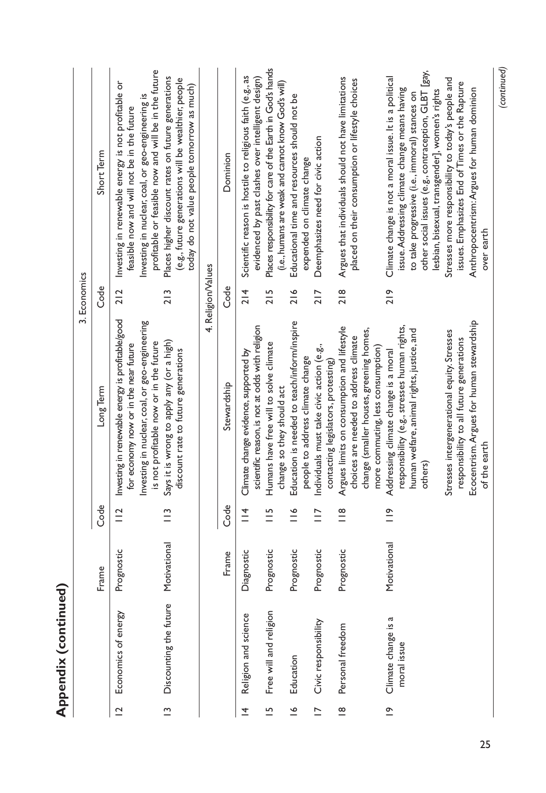|                          | Appendix (continued)               |              |                 |                                                                                                                                                                                       |                    |                                                                                                                                                                                                                                                                      |  |
|--------------------------|------------------------------------|--------------|-----------------|---------------------------------------------------------------------------------------------------------------------------------------------------------------------------------------|--------------------|----------------------------------------------------------------------------------------------------------------------------------------------------------------------------------------------------------------------------------------------------------------------|--|
|                          |                                    |              |                 |                                                                                                                                                                                       | 3. Economics       |                                                                                                                                                                                                                                                                      |  |
|                          |                                    | Frame        | Code            | Long Term                                                                                                                                                                             | Code               | Short Term                                                                                                                                                                                                                                                           |  |
| $\overline{C}$           | Economics of energy                | Prognostic   | $\frac{1}{2}$   | Investing in renewable energy is profitable/good<br>Investing in nuclear, coal, or geo-engineering<br>is not profitable now or in the future<br>for economy now or in the near future | 212                | profitable or feasible now and will be in the future<br>Investing in renewable energy is not profitable or<br>Investing in nuclear, coal, or geo-engineering is<br>feasible now and will not be in the future                                                        |  |
| $\tilde{ }$              | Discounting the future             | Motivational | $\frac{1}{2}$   | Says it is wrong to apply any (or a high)<br>discount rate to future generations                                                                                                      | 213                | Places higher discount rates on future generations<br>(e.g., future generations will be wealthier, people<br>today do not value people tomorrow as much)                                                                                                             |  |
|                          |                                    |              |                 |                                                                                                                                                                                       | 4. Religion/Values |                                                                                                                                                                                                                                                                      |  |
|                          |                                    | Frame        | Code            | Stewardship                                                                                                                                                                           | Code               | Dominion                                                                                                                                                                                                                                                             |  |
| $\overline{4}$           | Religion and science               | Diagnostic   | $\frac{4}{1}$   | scientific reason, is not at odds with religion<br>Climate change evidence, supported by                                                                                              | $\frac{14}{1}$     | Scientific reason is hostile to religious faith (e.g., as<br>evidenced by past clashes over intelligent design)                                                                                                                                                      |  |
| $\overline{5}$           | Free will and religion             | Prognostic   | $\frac{5}{1}$   | Humans have free will to solve climate<br>change so they should act                                                                                                                   | 215                | Places responsibility for care of the Earth in God's hands<br>(i.e., humans are weak and cannot know God's will)                                                                                                                                                     |  |
| $\tilde{=}$              | Education                          | Prognostic   | $\frac{6}{11}$  | Education is needed to teach/inform/inspire<br>people to address climate change                                                                                                       | 216                | Educational time and resources should not be<br>expended on climate change                                                                                                                                                                                           |  |
| $\overline{\phantom{0}}$ | Civic responsibility               | Prognostic   | $\overline{11}$ | Individuals must take civic action (e.g.,<br>contacting legislators, protesting)                                                                                                      | 217                | Deemphasizes need for civic action                                                                                                                                                                                                                                   |  |
| $\frac{\infty}{\infty}$  | Personal freedom                   | Prognostic   | $\frac{8}{1}$   | Argues limits on consumption and lifestyle<br>change (smaller houses, greening homes,<br>choices are needed to address climate<br>more commuting, less consumption)                   | $\frac{8}{2}$      | Argues that individuals should not have limitations<br>placed on their consumption or lifestyle choices                                                                                                                                                              |  |
| $\tilde{=}$              | Climate change is a<br>moral issue | Motivational | $\frac{8}{1}$   | responsibility (e.g., stresses human rights,<br>human welfare, animal rights, justice, and<br>Addressing climate change is a moral<br>others)                                         | 219                | other social issues (e.g., contraception, GLBT [gay,<br>Climate change is not a moral issue. It is a political<br>issue. Addressing climate change means having<br>lesbian, bisexual, transgender], women's rights<br>to take progressive (i.e., immoral) stances on |  |
|                          |                                    |              |                 | Ecocentrism. Argues for human stewardship<br>Stresses intergenerational equity. Stresses<br>responsibility to all future generations<br>of the earth                                  |                    | Stresses more responsibility to today's people and<br>issues. Emphasizes End of Times or the Rapture<br>Anthropocentrism: Argues for human dominion<br>over earth                                                                                                    |  |
|                          |                                    |              |                 |                                                                                                                                                                                       |                    | (continued)                                                                                                                                                                                                                                                          |  |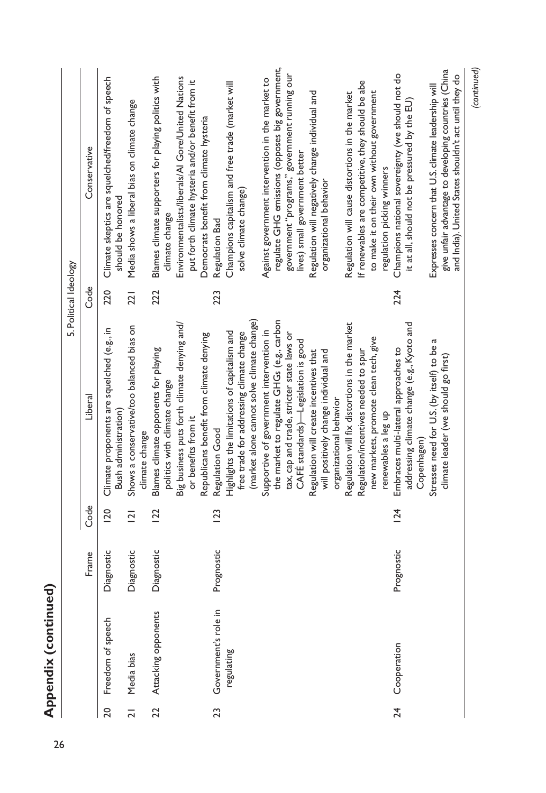|                |                      |            |                | 5. Political Ideology                                                                  |      |                                                                                                               |
|----------------|----------------------|------------|----------------|----------------------------------------------------------------------------------------|------|---------------------------------------------------------------------------------------------------------------|
|                |                      | Frame      | Code           | Liberal                                                                                | Code | Conservative                                                                                                  |
| 20             | Freedom of speech    | Diagnostic | 120            | Climate proponents are squelched (e.g., in<br>Bush administration)                     | 220  | Climate skeptics are squelched/freedom of speech<br>should be honored                                         |
| $\overline{2}$ | Media bias           | Diagnostic | $\overline{2}$ | Shows a conservative/too balanced bias on<br>climate change                            | 221  | Media shows a liberal bias on climate change                                                                  |
| 22             | Attacking opponents  | Diagnostic | 122            | Blames climate opponents for playing<br>politics with climate change                   | 222  | Blames climate supporters for playing politics with<br>climate change                                         |
|                |                      |            |                | Big business puts forth climate denying and/<br>or benefits from it                    |      | Environmentalists/liberals/AI Gore/United Nations<br>put forth climate hysteria and/or benefit from it        |
| 23             | Government's role in | Prognostic | 123            | Republicans benefit from climate denying<br>Regulation Good                            | 223  | Democrats benefit from climate hysteria<br>Regulation Bad                                                     |
|                | regulating           |            |                | Highlights the limitations of capitalism and                                           |      | Champions capitalism and free trade (market will                                                              |
|                |                      |            |                | (market alone cannot solve climate change)<br>free trade for addressing climate change |      | solve climate change)                                                                                         |
|                |                      |            |                |                                                                                        |      |                                                                                                               |
|                |                      |            |                | Supportive of government intervention in                                               |      | Against government intervention in the market to                                                              |
|                |                      |            |                | the market to regulate GHGs (e.g., carbon                                              |      | regulate GHG emissions (opposes big government,                                                               |
|                |                      |            |                | tax, cap and trade, stricter state laws or<br>CAFÉ standards)—Legislation is good      |      | government "programs," government running our<br>lives) small government better                               |
|                |                      |            |                | Regulation will create incentives that                                                 |      | Regulation will negatively change individual and                                                              |
|                |                      |            |                | will positively change individual and                                                  |      | organizational behavior                                                                                       |
|                |                      |            |                | organizational behavior                                                                |      |                                                                                                               |
|                |                      |            |                | Regulation will fix distortions in the market                                          |      | Regulation will cause distortions in the market                                                               |
|                |                      |            |                | Regulation/incentives needed to spur                                                   |      | If renewables are competitive, they should be abe                                                             |
|                |                      |            |                | new markets, promote clean tech, give                                                  |      | to make it on their own without government                                                                    |
|                |                      |            |                | renewables a leg up                                                                    |      | regulation picking winners                                                                                    |
| 24             | Cooperation          | Prognostic | 124            | Embraces multi-lateral approaches to                                                   | 224  | Champions national sovereignty (we should not do                                                              |
|                |                      |            |                | addressing climate change (e.g., Kyoto and<br>Copenhagen)                              |      | it at all, should not be pressured by the EU)                                                                 |
|                |                      |            |                | G<br>Stresses need for U.S. (by itself) to be                                          |      | Expresses concern that U.S. climate leadership will                                                           |
|                |                      |            |                | climate leader (we should go first)                                                    |      | give unfair advantage to developing countries (China<br>and India). United States shouldn't act until they do |
|                |                      |            |                |                                                                                        |      |                                                                                                               |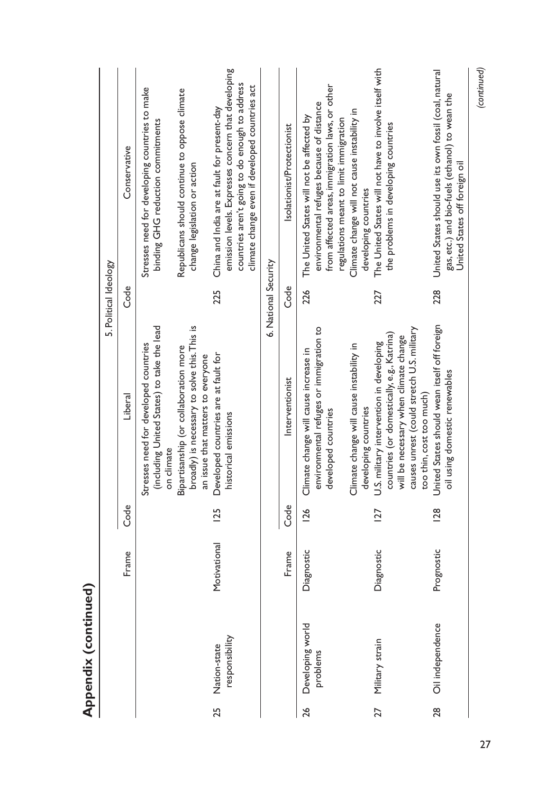|    | Appendix (continued)           |                     |            |                                                                                                                                                                                                           |                       |                                                                                                                                                                                                        |
|----|--------------------------------|---------------------|------------|-----------------------------------------------------------------------------------------------------------------------------------------------------------------------------------------------------------|-----------------------|--------------------------------------------------------------------------------------------------------------------------------------------------------------------------------------------------------|
|    |                                |                     |            |                                                                                                                                                                                                           | 5. Political Ideology |                                                                                                                                                                                                        |
|    |                                | $\mathbf 0$<br>Fram | Code       | Liberal                                                                                                                                                                                                   | Code                  | Conservative                                                                                                                                                                                           |
|    |                                |                     |            | (including United States) to take the lead<br>Stresses need for developed countries<br>on climate                                                                                                         |                       | Stresses need for developing countries to make<br>binding GHG reduction commitments                                                                                                                    |
|    |                                |                     |            | broadly) is necessary to solve this. This is<br>Bipartisanship (or collaboration more<br>an issue that matters to everyone                                                                                |                       | Republicans should continue to oppose climate<br>change legislation or action                                                                                                                          |
| 25 | responsibility<br>Nation-state | Motivational        | <b>125</b> | Developed countries are at fault for<br>historical emissions                                                                                                                                              | 225                   | emission levels. Expresses concern that developing<br>countries aren't going to do enough to address<br>climate change even if developed countries act<br>China and India are at fault for present-day |
|    |                                |                     |            |                                                                                                                                                                                                           | 6. National Security  |                                                                                                                                                                                                        |
|    |                                | $\mathbf 0$<br>Fram | Code       | Interventionist                                                                                                                                                                                           | Code                  | Isolationist/Protectionist                                                                                                                                                                             |
| 26 | Developing world<br>problems   | Diagnostic          | 126        | environmental refuges or immigration to<br>Climate change will cause increase in<br>developed countries                                                                                                   | 226                   | from affected areas, immigration laws, or other<br>environmental refuges because of distance<br>The United States will not be affected by<br>regulations meant to limit immigration                    |
|    |                                |                     |            | Climate change will cause instability in<br>developing countries                                                                                                                                          |                       | Climate change will not cause instability in<br>developing countries                                                                                                                                   |
| 27 | Military strain                | Diagnostic          | <b>127</b> | causes unrest (could stretch U.S. military<br>countries (or domestically, e.g., Katrina)<br>will be necessary when climate change<br>U.S. military intervention in developing<br>too thin, cost too much) | 227                   | The United States will not have to involve itself with<br>the problems in developing countries                                                                                                         |
| 28 | Oil independence               | Prognostic          | <b>28</b>  | United States should wean itself off foreign<br>oil using domestic renewables                                                                                                                             | 228                   | United States should use its own fossil (coal, natural<br>gas, etc.) and bio-fuels (ethanol) to wean the<br>United States off foreign oil                                                              |
|    |                                |                     |            |                                                                                                                                                                                                           |                       | (continued)                                                                                                                                                                                            |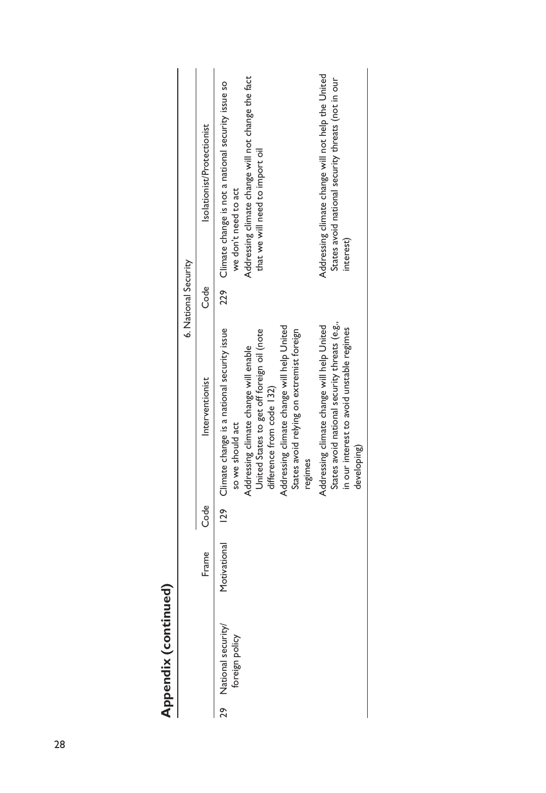Appendix (continued) **Appendix (continued)**

|                      | Isolationist/Protectionist | Addressing climate change will not help the United<br>Addressing climate change will not change the fact<br>States avoid national security threats (not in our<br>229 Climate change is not a national security issue so<br>that we will need to import oil<br>we don't need to act<br>interest)                                                                                                                                                     |
|----------------------|----------------------------|------------------------------------------------------------------------------------------------------------------------------------------------------------------------------------------------------------------------------------------------------------------------------------------------------------------------------------------------------------------------------------------------------------------------------------------------------|
| 6. National Security | Code                       |                                                                                                                                                                                                                                                                                                                                                                                                                                                      |
|                      | Interventionist            | States avoid national security threats (e.g.,<br>Addressing climate change will help United<br>Addressing climate change will help United<br>in our interest to avoid unstable regimes<br>Climate change is a national security issue<br>United States to get off foreign oil (note<br>States avoid relying on extremist foreign<br>Addressing climate change will enable<br>difference from code 132)<br>so we should act<br>developing)<br>regimes |
|                      | Code                       | l29                                                                                                                                                                                                                                                                                                                                                                                                                                                  |
|                      | e<br>E<br>ब्बन             | Motivational                                                                                                                                                                                                                                                                                                                                                                                                                                         |
|                      |                            | 29 National security/<br>foreign policy                                                                                                                                                                                                                                                                                                                                                                                                              |
|                      |                            |                                                                                                                                                                                                                                                                                                                                                                                                                                                      |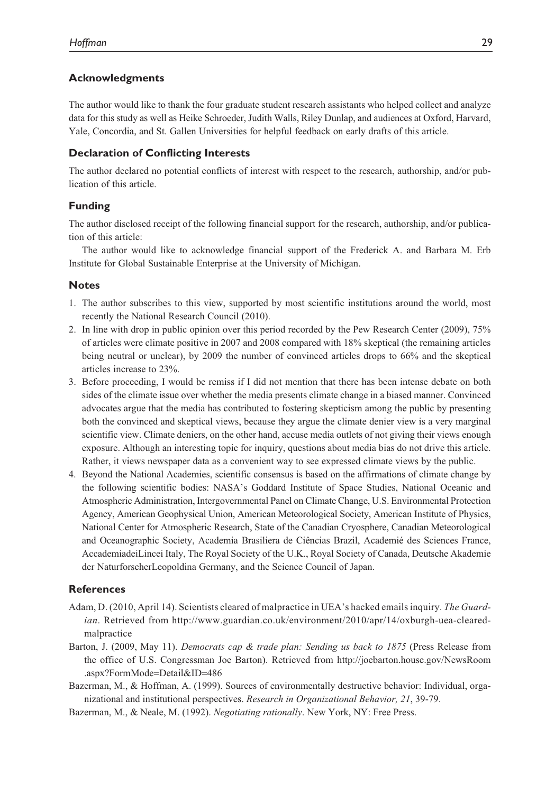# **Acknowledgments**

The author would like to thank the four graduate student research assistants who helped collect and analyze data for this study as well as Heike Schroeder, Judith Walls, Riley Dunlap, and audiences at Oxford, Harvard, Yale, Concordia, and St. Gallen Universities for helpful feedback on early drafts of this article.

# **Declaration of Conflicting Interests**

The author declared no potential conflicts of interest with respect to the research, authorship, and/or publication of this article.

# **Funding**

The author disclosed receipt of the following financial support for the research, authorship, and/or publication of this article:

The author would like to acknowledge financial support of the Frederick A. and Barbara M. Erb Institute for Global Sustainable Enterprise at the University of Michigan.

### **Notes**

- 1. The author subscribes to this view, supported by most scientific institutions around the world, most recently the National Research Council (2010).
- 2. In line with drop in public opinion over this period recorded by the Pew Research Center (2009), 75% of articles were climate positive in 2007 and 2008 compared with 18% skeptical (the remaining articles being neutral or unclear), by 2009 the number of convinced articles drops to 66% and the skeptical articles increase to 23%.
- 3. Before proceeding, I would be remiss if I did not mention that there has been intense debate on both sides of the climate issue over whether the media presents climate change in a biased manner. Convinced advocates argue that the media has contributed to fostering skepticism among the public by presenting both the convinced and skeptical views, because they argue the climate denier view is a very marginal scientific view. Climate deniers, on the other hand, accuse media outlets of not giving their views enough exposure. Although an interesting topic for inquiry, questions about media bias do not drive this article. Rather, it views newspaper data as a convenient way to see expressed climate views by the public.
- 4. Beyond the National Academies, scientific consensus is based on the affirmations of climate change by the following scientific bodies: NASA's Goddard Institute of Space Studies, National Oceanic and Atmospheric Administration, Intergovernmental Panel on Climate Change, U.S. Environmental Protection Agency, American Geophysical Union, American Meteorological Society, American Institute of Physics, National Center for Atmospheric Research, State of the Canadian Cryosphere, Canadian Meteorological and Oceanographic Society, Academia Brasiliera de Ciências Brazil, Academié des Sciences France, AccademiadeiLincei Italy, The Royal Society of the U.K., Royal Society of Canada, Deutsche Akademie der NaturforscherLeopoldina Germany, and the Science Council of Japan.

### **References**

- Adam, D. (2010, April 14). Scientists cleared of malpractice in UEA's hacked emails inquiry. *The Guardian*. Retrieved from http://www.guardian.co.uk/environment/2010/apr/14/oxburgh-uea-clearedmalpractice
- Barton, J. (2009, May 11). *Democrats cap & trade plan: Sending us back to 1875* (Press Release from the office of U.S. Congressman Joe Barton). Retrieved from http://joebarton.house.gov/NewsRoom .aspx?FormMode=Detail&ID=486
- Bazerman, M., & Hoffman, A. (1999). Sources of environmentally destructive behavior: Individual, organizational and institutional perspectives. *Research in Organizational Behavior, 21*, 39-79.
- Bazerman, M., & Neale, M. (1992). *Negotiating rationally*. New York, NY: Free Press.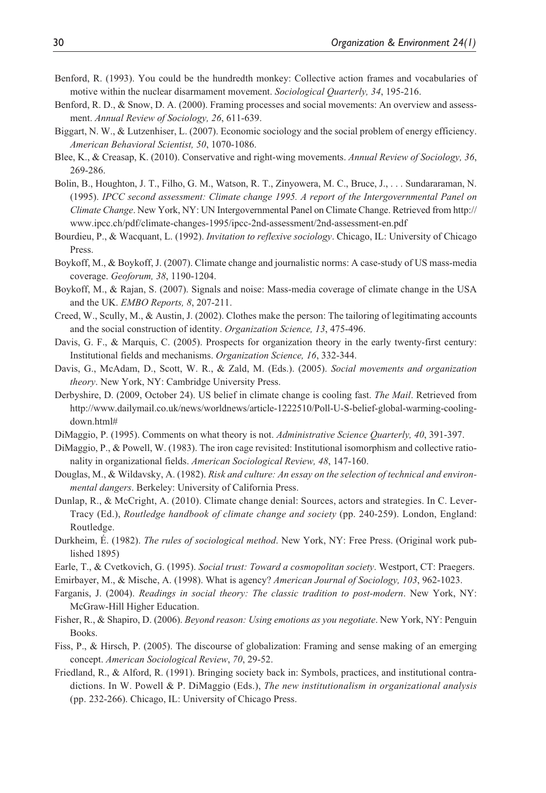- Benford, R. (1993). You could be the hundredth monkey: Collective action frames and vocabularies of motive within the nuclear disarmament movement. *Sociological Quarterly, 34*, 195-216.
- Benford, R. D., & Snow, D. A. (2000). Framing processes and social movements: An overview and assessment. *Annual Review of Sociology, 26*, 611-639.
- Biggart, N. W., & Lutzenhiser, L. (2007). Economic sociology and the social problem of energy efficiency. *American Behavioral Scientist, 50*, 1070-1086.
- Blee, K., & Creasap, K. (2010). Conservative and right-wing movements. *Annual Review of Sociology, 36*, 269-286.
- Bolin, B., Houghton, J. T., Filho, G. M., Watson, R. T., Zinyowera, M. C., Bruce, J., . . . Sundararaman, N. (1995). *IPCC second assessment: Climate change 1995. A report of the Intergovernmental Panel on Climate Change*. New York, NY: UN Intergovernmental Panel on Climate Change. Retrieved from http:// www.ipcc.ch/pdf/climate-changes-1995/ipcc-2nd-assessment/2nd-assessment-en.pdf
- Bourdieu, P., & Wacquant, L. (1992). *Invitation to reflexive sociology*. Chicago, IL: University of Chicago Press.
- Boykoff, M., & Boykoff, J. (2007). Climate change and journalistic norms: A case-study of US mass-media coverage. *Geoforum, 38*, 1190-1204.
- Boykoff, M., & Rajan, S. (2007). Signals and noise: Mass-media coverage of climate change in the USA and the UK. *EMBO Reports, 8*, 207-211.
- Creed, W., Scully, M., & Austin, J. (2002). Clothes make the person: The tailoring of legitimating accounts and the social construction of identity. *Organization Science, 13*, 475-496.
- Davis, G. F., & Marquis, C. (2005). Prospects for organization theory in the early twenty-first century: Institutional fields and mechanisms. *Organization Science, 16*, 332-344.
- Davis, G., McAdam, D., Scott, W. R., & Zald, M. (Eds.). (2005). *Social movements and organization theory*. New York, NY: Cambridge University Press.
- Derbyshire, D. (2009, October 24). US belief in climate change is cooling fast. *The Mail*. Retrieved from http://www.dailymail.co.uk/news/worldnews/article-1222510/Poll-U-S-belief-global-warming-coolingdown.html#
- DiMaggio, P. (1995). Comments on what theory is not. *Administrative Science Quarterly, 40*, 391-397.
- DiMaggio, P., & Powell, W. (1983). The iron cage revisited: Institutional isomorphism and collective rationality in organizational fields. *American Sociological Review, 48*, 147-160.
- Douglas, M., & Wildavsky, A. (1982). *Risk and culture: An essay on the selection of technical and environmental dangers*. Berkeley: University of California Press.
- Dunlap, R., & McCright, A. (2010). Climate change denial: Sources, actors and strategies. In C. Lever-Tracy (Ed.), *Routledge handbook of climate change and society* (pp. 240-259). London, England: Routledge.
- Durkheim, É. (1982). *The rules of sociological method*. New York, NY: Free Press. (Original work published 1895)
- Earle, T., & Cvetkovich, G. (1995). *Social trust: Toward a cosmopolitan society*. Westport, CT: Praegers.
- Emirbayer, M., & Mische, A. (1998). What is agency? *American Journal of Sociology, 103*, 962-1023.
- Farganis, J. (2004). *Readings in social theory: The classic tradition to post-modern*. New York, NY: McGraw-Hill Higher Education.
- Fisher, R., & Shapiro, D. (2006). *Beyond reason: Using emotions as you negotiate*. New York, NY: Penguin Books.
- Fiss, P., & Hirsch, P. (2005). The discourse of globalization: Framing and sense making of an emerging concept. *American Sociological Review*, *70*, 29-52.
- Friedland, R., & Alford, R. (1991). Bringing society back in: Symbols, practices, and institutional contradictions. In W. Powell & P. DiMaggio (Eds.), *The new institutionalism in organizational analysis* (pp. 232-266). Chicago, IL: University of Chicago Press.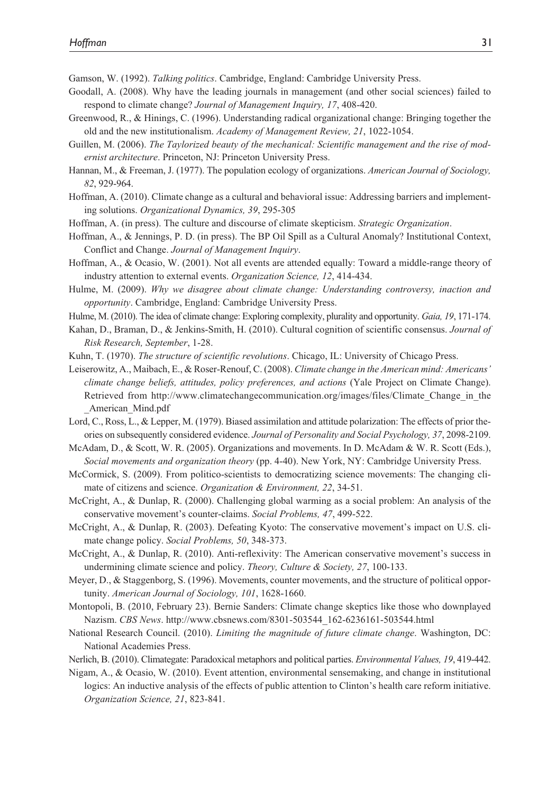Gamson, W. (1992). *Talking politics*. Cambridge, England: Cambridge University Press.

- Goodall, A. (2008). Why have the leading journals in management (and other social sciences) failed to respond to climate change? *Journal of Management Inquiry, 17*, 408-420.
- Greenwood, R., & Hinings, C. (1996). Understanding radical organizational change: Bringing together the old and the new institutionalism. *Academy of Management Review, 21*, 1022-1054.
- Guillen, M. (2006). *The Taylorized beauty of the mechanical: Scientific management and the rise of modernist architecture*. Princeton, NJ: Princeton University Press.
- Hannan, M., & Freeman, J. (1977). The population ecology of organizations. *American Journal of Sociology, 82*, 929-964.
- Hoffman, A. (2010). Climate change as a cultural and behavioral issue: Addressing barriers and implementing solutions. *Organizational Dynamics, 39*, 295-305
- Hoffman, A. (in press). The culture and discourse of climate skepticism. *Strategic Organization*.
- Hoffman, A., & Jennings, P. D. (in press). The BP Oil Spill as a Cultural Anomaly? Institutional Context, Conflict and Change. *Journal of Management Inquiry*.
- Hoffman, A., & Ocasio, W. (2001). Not all events are attended equally: Toward a middle-range theory of industry attention to external events. *Organization Science, 12*, 414-434.
- Hulme, M. (2009). *Why we disagree about climate change: Understanding controversy, inaction and opportunity*. Cambridge, England: Cambridge University Press.
- Hulme, M. (2010). The idea of climate change: Exploring complexity, plurality and opportunity. *Gaia, 19*, 171-174.
- Kahan, D., Braman, D., & Jenkins-Smith, H. (2010). Cultural cognition of scientific consensus. *Journal of Risk Research, September*, 1-28.
- Kuhn, T. (1970). *The structure of scientific revolutions*. Chicago, IL: University of Chicago Press.
- Leiserowitz, A., Maibach, E., & Roser-Renouf, C. (2008). *Climate change in the American mind: Americans' climate change beliefs, attitudes, policy preferences, and actions* (Yale Project on Climate Change). Retrieved from http://www.climatechangecommunication.org/images/files/Climate\_Change\_in\_the \_American\_Mind.pdf
- Lord, C., Ross, L., & Lepper, M. (1979). Biased assimilation and attitude polarization: The effects of prior theories on subsequently considered evidence. *Journal of Personality and Social Psychology, 37*, 2098-2109.
- McAdam, D., & Scott, W. R. (2005). Organizations and movements. In D. McAdam & W. R. Scott (Eds.), *Social movements and organization theory* (pp. 4-40). New York, NY: Cambridge University Press.
- McCormick, S. (2009). From politico-scientists to democratizing science movements: The changing climate of citizens and science. *Organization & Environment, 22*, 34-51.
- McCright, A., & Dunlap, R. (2000). Challenging global warming as a social problem: An analysis of the conservative movement's counter-claims. *Social Problems, 47*, 499-522.
- McCright, A., & Dunlap, R. (2003). Defeating Kyoto: The conservative movement's impact on U.S. climate change policy. *Social Problems, 50*, 348-373.
- McCright, A., & Dunlap, R. (2010). Anti-reflexivity: The American conservative movement's success in undermining climate science and policy. *Theory, Culture & Society, 27*, 100-133.
- Meyer, D., & Staggenborg, S. (1996). Movements, counter movements, and the structure of political opportunity. *American Journal of Sociology, 101*, 1628-1660.
- Montopoli, B. (2010, February 23). Bernie Sanders: Climate change skeptics like those who downplayed Nazism. *CBS News*. http://www.cbsnews.com/8301-503544\_162-6236161-503544.html
- National Research Council. (2010). *Limiting the magnitude of future climate change*. Washington, DC: National Academies Press.
- Nerlich, B. (2010). Climategate: Paradoxical metaphors and political parties. *Environmental Values, 19*, 419-442.
- Nigam, A., & Ocasio, W. (2010). Event attention, environmental sensemaking, and change in institutional logics: An inductive analysis of the effects of public attention to Clinton's health care reform initiative. *Organization Science, 21*, 823-841.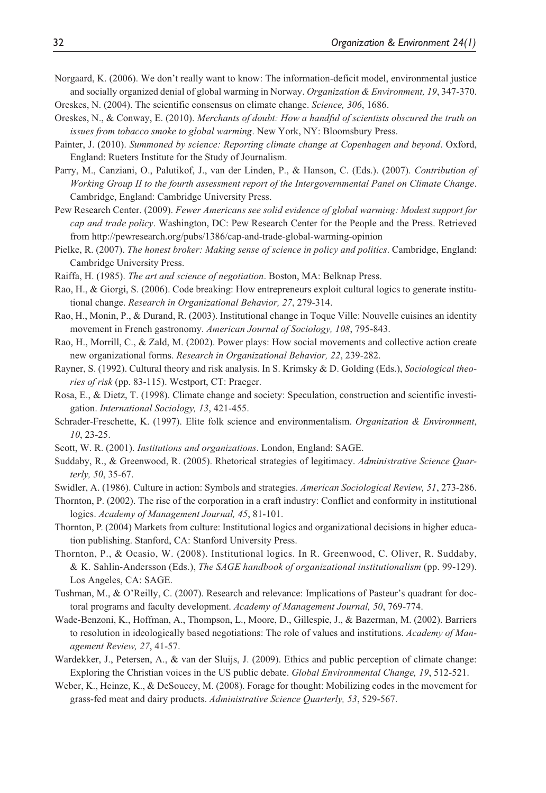- Norgaard, K. (2006). We don't really want to know: The information-deficit model, environmental justice and socially organized denial of global warming in Norway. *Organization & Environment, 19*, 347-370.
- Oreskes, N. (2004). The scientific consensus on climate change. *Science, 306*, 1686.
- Oreskes, N., & Conway, E. (2010). *Merchants of doubt: How a handful of scientists obscured the truth on issues from tobacco smoke to global warming*. New York, NY: Bloomsbury Press.
- Painter, J. (2010). *Summoned by science: Reporting climate change at Copenhagen and beyond*. Oxford, England: Rueters Institute for the Study of Journalism.
- Parry, M., Canziani, O., Palutikof, J., van der Linden, P., & Hanson, C. (Eds.). (2007). *Contribution of Working Group II to the fourth assessment report of the Intergovernmental Panel on Climate Change*. Cambridge, England: Cambridge University Press.
- Pew Research Center. (2009). *Fewer Americans see solid evidence of global warming: Modest support for cap and trade policy*. Washington, DC: Pew Research Center for the People and the Press. Retrieved from http://pewresearch.org/pubs/1386/cap-and-trade-global-warming-opinion
- Pielke, R. (2007). *The honest broker: Making sense of science in policy and politics*. Cambridge, England: Cambridge University Press.
- Raiffa, H. (1985). *The art and science of negotiation*. Boston, MA: Belknap Press.
- Rao, H., & Giorgi, S. (2006). Code breaking: How entrepreneurs exploit cultural logics to generate institutional change. *Research in Organizational Behavior, 27*, 279-314.
- Rao, H., Monin, P., & Durand, R. (2003). Institutional change in Toque Ville: Nouvelle cuisines an identity movement in French gastronomy. *American Journal of Sociology, 108*, 795-843.
- Rao, H., Morrill, C., & Zald, M. (2002). Power plays: How social movements and collective action create new organizational forms. *Research in Organizational Behavior, 22*, 239-282.
- Rayner, S. (1992). Cultural theory and risk analysis. In S. Krimsky & D. Golding (Eds.), *Sociological theories of risk* (pp. 83-115). Westport, CT: Praeger.
- Rosa, E., & Dietz, T. (1998). Climate change and society: Speculation, construction and scientific investigation. *International Sociology, 13*, 421-455.
- Schrader-Freschette, K. (1997). Elite folk science and environmentalism. *Organization & Environment*, *10*, 23-25.
- Scott, W. R. (2001). *Institutions and organizations*. London, England: SAGE.
- Suddaby, R., & Greenwood, R. (2005). Rhetorical strategies of legitimacy. *Administrative Science Quarterly, 50*, 35-67.
- Swidler, A. (1986). Culture in action: Symbols and strategies. *American Sociological Review, 51*, 273-286.
- Thornton, P. (2002). The rise of the corporation in a craft industry: Conflict and conformity in institutional logics. *Academy of Management Journal, 45*, 81-101.
- Thornton, P. (2004) Markets from culture: Institutional logics and organizational decisions in higher education publishing. Stanford, CA: Stanford University Press.
- Thornton, P., & Ocasio, W. (2008). Institutional logics. In R. Greenwood, C. Oliver, R. Suddaby, & K. Sahlin-Andersson (Eds.), *The Sage handbook of organizational institutionalism* (pp. 99-129). Los Angeles, CA: SAGE.
- Tushman, M., & O'Reilly, C. (2007). Research and relevance: Implications of Pasteur's quadrant for doctoral programs and faculty development. *Academy of Management Journal, 50*, 769-774.
- Wade-Benzoni, K., Hoffman, A., Thompson, L., Moore, D., Gillespie, J., & Bazerman, M. (2002). Barriers to resolution in ideologically based negotiations: The role of values and institutions. *Academy of Management Review, 27*, 41-57.
- Wardekker, J., Petersen, A., & van der Sluijs, J. (2009). Ethics and public perception of climate change: Exploring the Christian voices in the US public debate. *Global Environmental Change, 19*, 512-521.
- Weber, K., Heinze, K., & DeSoucey, M. (2008). Forage for thought: Mobilizing codes in the movement for grass-fed meat and dairy products. *Administrative Science Quarterly, 53*, 529-567.